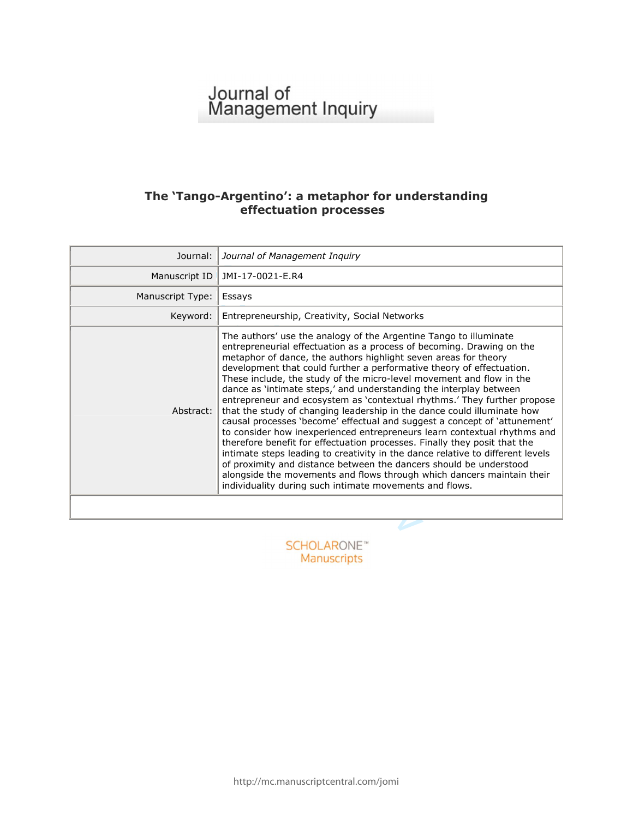# Journal of<br>Management Inquiry

# **The 'Tango -Argentino': a metaphor for understanding effectuation processes**

| Journal:         | Journal of Management Inquiry                                                                                                                                                                                                                                                                                                                                                                                                                                                                                                                                                                                                                                                                                                                                                                                                                                                                                                                                                                                                                                                                                                  |
|------------------|--------------------------------------------------------------------------------------------------------------------------------------------------------------------------------------------------------------------------------------------------------------------------------------------------------------------------------------------------------------------------------------------------------------------------------------------------------------------------------------------------------------------------------------------------------------------------------------------------------------------------------------------------------------------------------------------------------------------------------------------------------------------------------------------------------------------------------------------------------------------------------------------------------------------------------------------------------------------------------------------------------------------------------------------------------------------------------------------------------------------------------|
| Manuscript ID    | JMI-17-0021-E.R4                                                                                                                                                                                                                                                                                                                                                                                                                                                                                                                                                                                                                                                                                                                                                                                                                                                                                                                                                                                                                                                                                                               |
| Manuscript Type: | Essays                                                                                                                                                                                                                                                                                                                                                                                                                                                                                                                                                                                                                                                                                                                                                                                                                                                                                                                                                                                                                                                                                                                         |
| Keyword:         | Entrepreneurship, Creativity, Social Networks                                                                                                                                                                                                                                                                                                                                                                                                                                                                                                                                                                                                                                                                                                                                                                                                                                                                                                                                                                                                                                                                                  |
| Abstract:        | The authors' use the analogy of the Argentine Tango to illuminate<br>entrepreneurial effectuation as a process of becoming. Drawing on the<br>metaphor of dance, the authors highlight seven areas for theory<br>development that could further a performative theory of effectuation.<br>These include, the study of the micro-level movement and flow in the<br>dance as 'intimate steps,' and understanding the interplay between<br>entrepreneur and ecosystem as 'contextual rhythms.' They further propose<br>that the study of changing leadership in the dance could illuminate how<br>causal processes 'become' effectual and suggest a concept of 'attunement'<br>to consider how inexperienced entrepreneurs learn contextual rhythms and<br>therefore benefit for effectuation processes. Finally they posit that the<br>intimate steps leading to creativity in the dance relative to different levels<br>of proximity and distance between the dancers should be understood<br>alongside the movements and flows through which dancers maintain their<br>individuality during such intimate movements and flows. |
|                  |                                                                                                                                                                                                                                                                                                                                                                                                                                                                                                                                                                                                                                                                                                                                                                                                                                                                                                                                                                                                                                                                                                                                |
|                  |                                                                                                                                                                                                                                                                                                                                                                                                                                                                                                                                                                                                                                                                                                                                                                                                                                                                                                                                                                                                                                                                                                                                |

Manuscripts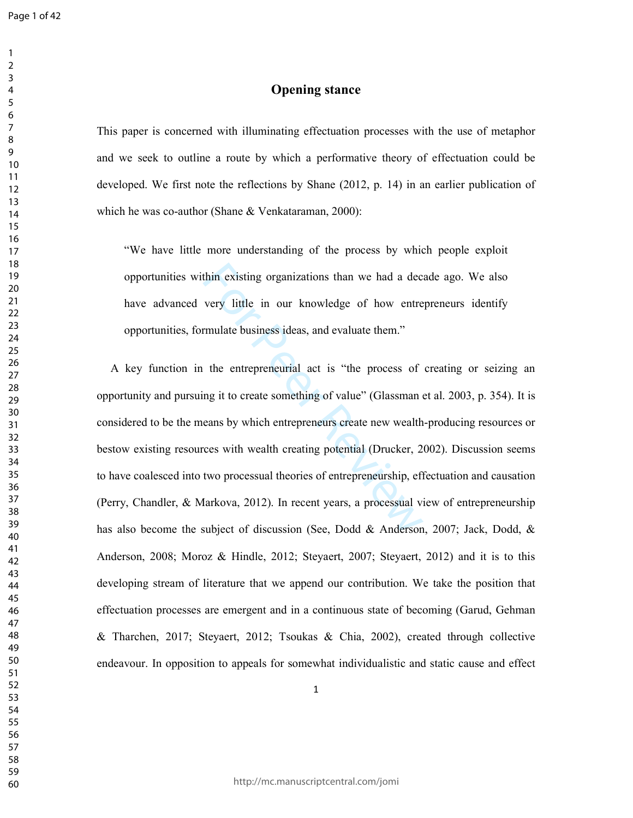## **Opening stance**

This paper is concerned with illuminating effectuation processes with the use of metaphor and we seek to outline a route by which a performative theory of effectuation could be developed. We first note the reflections by Shane (2012, p. 14) in an earlier publication of which he was co-author (Shane & Venkataraman, 2000):

"We have little more understanding of the process by which people exploit opportunities within existing organizations than we had a decade ago. We also have advanced very little in our knowledge of how entrepreneurs identify opportunities, formulate business ideas, and evaluate them."

thin existing organizations than we had a dec<br>very little in our knowledge of how entre<br>rmulate business ideas, and evaluate them."<br>the entrepreneurial act is "the process of<br>ng it to create something of value" (Glassman e A key function in the entrepreneurial act is "the process of creating or seizing an opportunity and pursuing it to create something of value" (Glassman et al. 2003, p. 354). It is considered to be the means by which entrepreneurs create new wealth-producing resources or bestow existing resources with wealth creating potential (Drucker, 2002). Discussion seems to have coalesced into two processual theories of entrepreneurship, effectuation and causation (Perry, Chandler, & Markova, 2012). In recent years, a processual view of entrepreneurship has also become the subject of discussion (See, Dodd & Anderson, 2007; Jack, Dodd, & Anderson, 2008; Moroz & Hindle, 2012; Steyaert, 2007; Steyaert, 2012) and it is to this developing stream of literature that we append our contribution. We take the position that effectuation processes are emergent and in a continuous state of becoming (Garud, Gehman & Tharchen, 2017; Steyaert, 2012; Tsoukas & Chia, 2002), created through collective endeavour. In opposition to appeals for somewhat individualistic and static cause and effect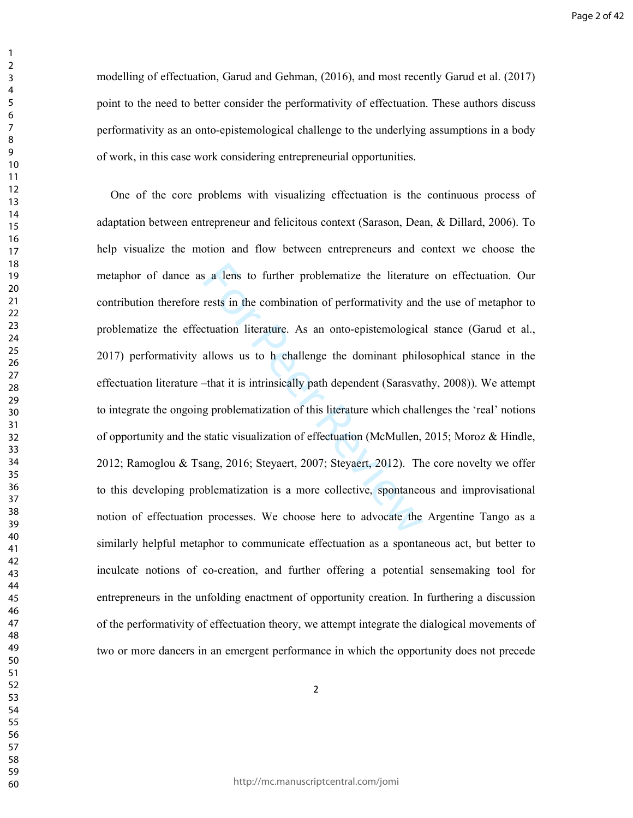modelling of effectuation, Garud and Gehman, (2016), and most recently Garud et al. (2017) point to the need to better consider the performativity of effectuation. These authors discuss performativity as an onto-epistemological challenge to the underlying assumptions in a body of work, in this case work considering entrepreneurial opportunities.

a lens to further problematize the literatur<br>rests in the combination of performativity and<br>ctuation literature. As an onto-epistemologica<br>allows us to h challenge the dominant philc<br>-that it is intrinsically path dependen One of the core problems with visualizing effectuation is the continuous process of adaptation between entrepreneur and felicitous context (Sarason, Dean, & Dillard, 2006). To help visualize the motion and flow between entrepreneurs and context we choose the metaphor of dance as a lens to further problematize the literature on effectuation. Our contribution therefore rests in the combination of performativity and the use of metaphor to problematize the effectuation literature. As an onto-epistemological stance (Garud et al., 2017) performativity allows us to h challenge the dominant philosophical stance in the effectuation literature –that it is intrinsically path dependent (Sarasvathy, 2008)). We attempt to integrate the ongoing problematization of this literature which challenges the 'real' notions of opportunity and the static visualization of effectuation (McMullen, 2015; Moroz & Hindle, 2012; Ramoglou & Tsang, 2016; Steyaert, 2007; Steyaert, 2012). The core novelty we offer to this developing problematization is a more collective, spontaneous and improvisational notion of effectuation processes. We choose here to advocate the Argentine Tango as a similarly helpful metaphor to communicate effectuation as a spontaneous act, but better to inculcate notions of co-creation, and further offering a potential sensemaking tool for entrepreneurs in the unfolding enactment of opportunity creation. In furthering a discussion of the performativity of effectuation theory, we attempt integrate the dialogical movements of two or more dancers in an emergent performance in which the opportunity does not precede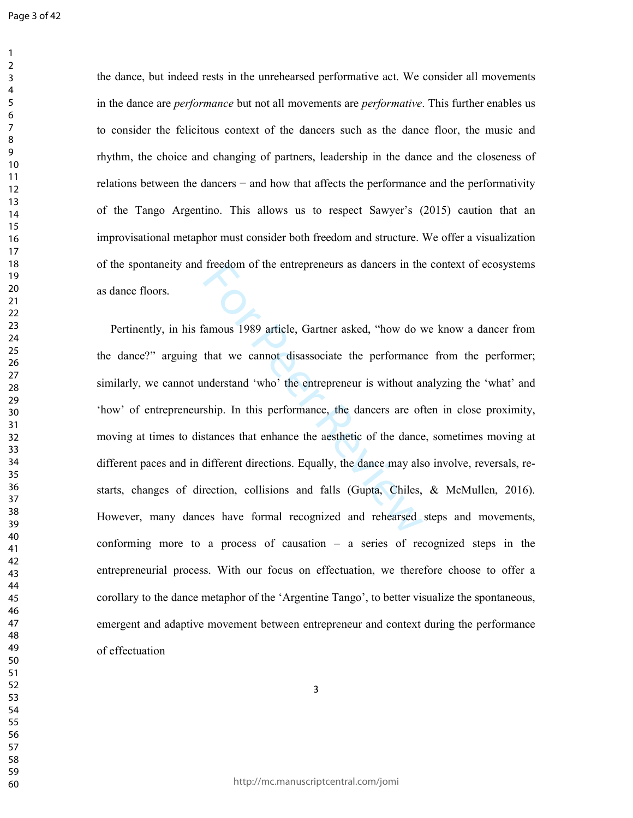the dance, but indeed rests in the unrehearsed performative act. We consider all movements in the dance are *performance* but not all movements are *performative*. This further enables us to consider the felicitous context of the dancers such as the dance floor, the music and rhythm, the choice and changing of partners, leadership in the dance and the closeness of relations between the dancers − and how that affects the performance and the performativity of the Tango Argentino. This allows us to respect Sawyer's (2015) caution that an improvisational metaphor must consider both freedom and structure. We offer a visualization of the spontaneity and freedom of the entrepreneurs as dancers in the context of ecosystems as dance floors.

Freedom of the entrepreneurs as dancers in the<br>
damous 1989 article, Gartner asked, "how do v<br>
that we cannot disassociate the performanc<br>
nderstand 'who' the entrepreneur is without as<br>
ship. In this performance, the danc Pertinently, in his famous 1989 article, Gartner asked, "how do we know a dancer from the dance?" arguing that we cannot disassociate the performance from the performer; similarly, we cannot understand 'who' the entrepreneur is without analyzing the 'what' and 'how' of entrepreneurship. In this performance, the dancers are often in close proximity, moving at times to distances that enhance the aesthetic of the dance, sometimes moving at different paces and in different directions. Equally, the dance may also involve, reversals, restarts, changes of direction, collisions and falls (Gupta, Chiles, & McMullen, 2016). However, many dances have formal recognized and rehearsed steps and movements, conforming more to a process of causation – a series of recognized steps in the entrepreneurial process. With our focus on effectuation, we therefore choose to offer a corollary to the dance metaphor of the 'Argentine Tango', to better visualize the spontaneous, emergent and adaptive movement between entrepreneur and context during the performance of effectuation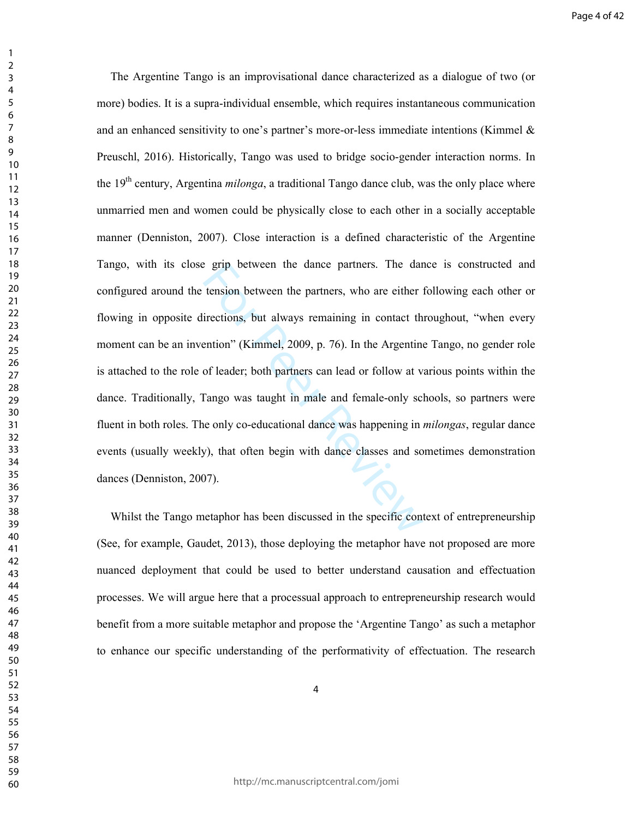Example between the dance partners. The dar-<br>tension between the partners, who are either pricetions, but always remaining in contact the<br>ention" (Kimmel, 2009, p. 76). In the Argentine<br>of leader; both partners can lead or The Argentine Tango is an improvisational dance characterized as a dialogue of two (or more) bodies. It is a supra-individual ensemble, which requires instantaneous communication and an enhanced sensitivity to one's partner's more-or-less immediate intentions (Kimmel & Preuschl, 2016). Historically, Tango was used to bridge socio-gender interaction norms. In the 19<sup>th</sup> century, Argentina *milonga*, a traditional Tango dance club, was the only place where unmarried men and women could be physically close to each other in a socially acceptable manner (Denniston, 2007). Close interaction is a defined characteristic of the Argentine Tango, with its close grip between the dance partners. The dance is constructed and configured around the tension between the partners, who are either following each other or flowing in opposite directions, but always remaining in contact throughout, "when every moment can be an invention" (Kimmel, 2009, p. 76). In the Argentine Tango, no gender role is attached to the role of leader; both partners can lead or follow at various points within the dance. Traditionally, Tango was taught in male and female-only schools, so partners were fluent in both roles. The only co-educational dance was happening in *milongas*, regular dance events (usually weekly), that often begin with dance classes and sometimes demonstration dances (Denniston, 2007).

Whilst the Tango metaphor has been discussed in the specific context of entrepreneurship (See, for example, Gaudet, 2013), those deploying the metaphor have not proposed are more nuanced deployment that could be used to better understand causation and effectuation processes. We will argue here that a processual approach to entrepreneurship research would benefit from a more suitable metaphor and propose the 'Argentine Tango' as such a metaphor to enhance our specific understanding of the performativity of effectuation. The research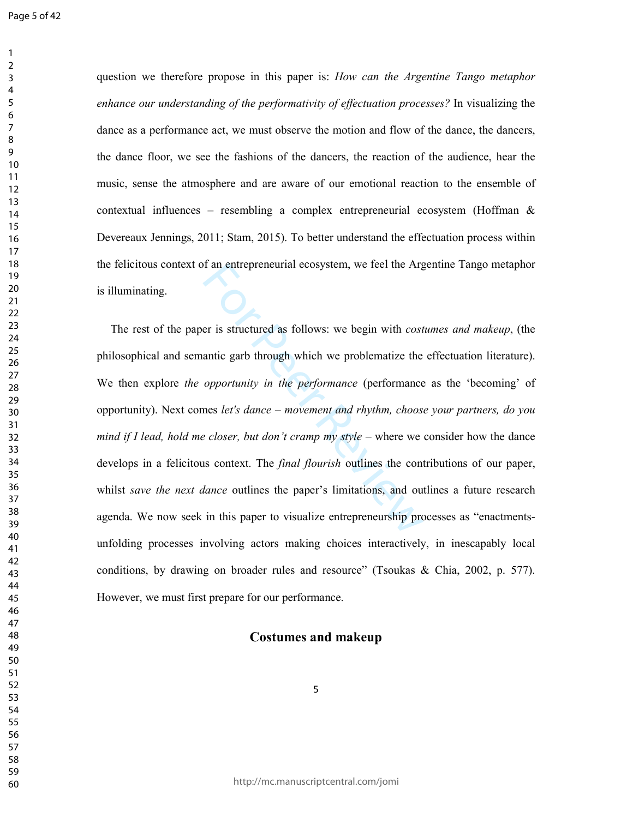question we therefore propose in this paper is: *How can the Argentine Tango metaphor enhance our understanding of the performativity of effectuation processes?* In visualizing the dance as a performance act, we must observe the motion and flow of the dance, the dancers, the dance floor, we see the fashions of the dancers, the reaction of the audience, hear the music, sense the atmosphere and are aware of our emotional reaction to the ensemble of contextual influences – resembling a complex entrepreneurial ecosystem (Hoffman  $\&$ Devereaux Jennings, 2011; Stam, 2015). To better understand the effectuation process within the felicitous context of an entrepreneurial ecosystem, we feel the Argentine Tango metaphor is illuminating.

of an entrepreneurial ecosystem, we feel the Argin and are the Argin with cost<br>antic garb through which we problematize the<br>opportunity in the performance (performance<br>mes let's dance – movement and rhythm, choos<br>exports o The rest of the paper is structured as follows: we begin with *costumes and makeup*, (the philosophical and semantic garb through which we problematize the effectuation literature). We then explore *the opportunity in the performance* (performance as the 'becoming' of opportunity). Next comes *let's dance* – *movement and rhythm, choose your partners, do you mind if I lead, hold me closer, but don't cramp my style* – where we consider how the dance develops in a felicitous context. The *final flourish* outlines the contributions of our paper, whilst *save the next dance* outlines the paper's limitations, and outlines a future research agenda. We now seek in this paper to visualize entrepreneurship processes as "enactmentsunfolding processes involving actors making choices interactively, in inescapably local conditions, by drawing on broader rules and resource" (Tsoukas & Chia, 2002, p. 577). However, we must first prepare for our performance.

## **Costumes and makeup**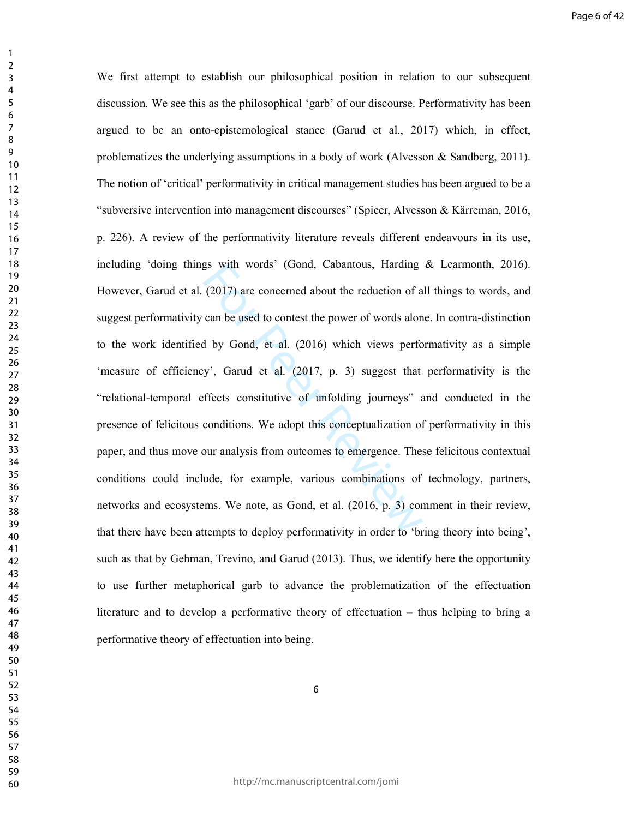gs with words' (Gond, Cabantous, Harding<br>(2017) are concerned about the reduction of a<br>can be used to contest the power of words alon<br>d by Gond, et al. (2016) which views perfo<br>y', Garud et al. (2017, p. 3) suggest that<br>f We first attempt to establish our philosophical position in relation to our subsequent discussion. We see this as the philosophical 'garb' of our discourse. Performativity has been argued to be an onto-epistemological stance (Garud et al., 2017) which, in effect, problematizes the underlying assumptions in a body of work (Alvesson & Sandberg, 2011). The notion of 'critical' performativity in critical management studies has been argued to be a "subversive intervention into management discourses" (Spicer, Alvesson & Kärreman, 2016, p. 226). A review of the performativity literature reveals different endeavours in its use, including 'doing things with words' (Gond, Cabantous, Harding & Learmonth, 2016). However, Garud et al. (2017) are concerned about the reduction of all things to words, and suggest performativity can be used to contest the power of words alone. In contra-distinction to the work identified by Gond, et al. (2016) which views performativity as a simple 'measure of efficiency', Garud et al. (2017, p. 3) suggest that performativity is the "relational-temporal effects constitutive of unfolding journeys" and conducted in the presence of felicitous conditions. We adopt this conceptualization of performativity in this paper, and thus move our analysis from outcomes to emergence. These felicitous contextual conditions could include, for example, various combinations of technology, partners, networks and ecosystems. We note, as Gond, et al. (2016, p. 3) comment in their review, that there have been attempts to deploy performativity in order to 'bring theory into being', such as that by Gehman, Trevino, and Garud (2013). Thus, we identify here the opportunity to use further metaphorical garb to advance the problematization of the effectuation literature and to develop a performative theory of effectuation – thus helping to bring a performative theory of effectuation into being.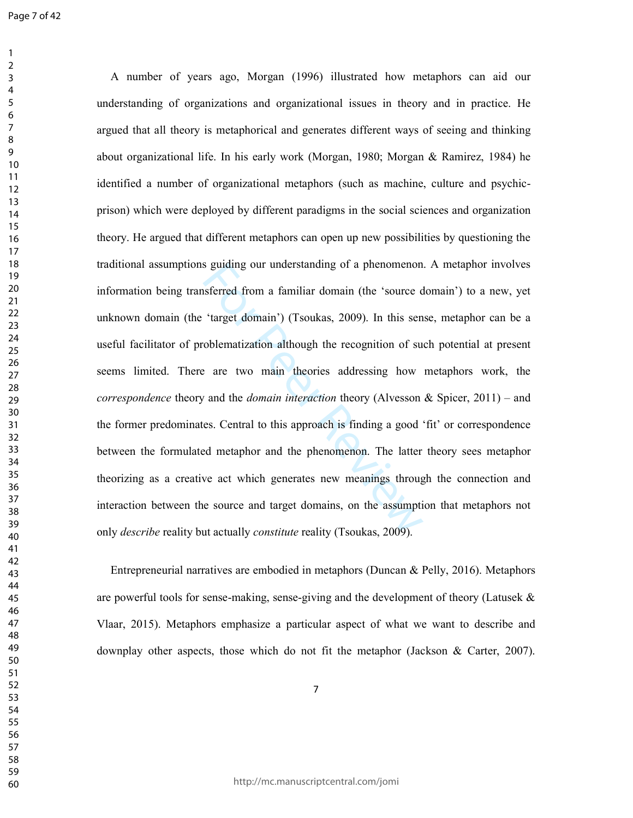s guiding our understanding of a phenomenon<br>sferred from a familiar domain (the 'source d<br>
'target domain') (Tsoukas, 2009). In this sen<br>
oblematization although the recognition of su<br>
<sup>2</sup> are two main theories addressing A number of years ago, Morgan (1996) illustrated how metaphors can aid our understanding of organizations and organizational issues in theory and in practice. He argued that all theory is metaphorical and generates different ways of seeing and thinking about organizational life. In his early work (Morgan, 1980; Morgan & Ramirez, 1984) he identified a number of organizational metaphors (such as machine, culture and psychicprison) which were deployed by different paradigms in the social sciences and organization theory. He argued that different metaphors can open up new possibilities by questioning the traditional assumptions guiding our understanding of a phenomenon. A metaphor involves information being transferred from a familiar domain (the 'source domain') to a new, yet unknown domain (the 'target domain') (Tsoukas, 2009). In this sense, metaphor can be a useful facilitator of problematization although the recognition of such potential at present seems limited. There are two main theories addressing how metaphors work, the *correspondence* theory and the *domain interaction* theory (Alvesson & Spicer, 2011) – and the former predominates. Central to this approach is finding a good 'fit' or correspondence between the formulated metaphor and the phenomenon. The latter theory sees metaphor theorizing as a creative act which generates new meanings through the connection and interaction between the source and target domains, on the assumption that metaphors not only *describe* reality but actually *constitute* reality (Tsoukas, 2009).

Entrepreneurial narratives are embodied in metaphors (Duncan & Pelly, 2016). Metaphors are powerful tools for sense-making, sense-giving and the development of theory (Latusek  $\&$ Vlaar, 2015). Metaphors emphasize a particular aspect of what we want to describe and downplay other aspects, those which do not fit the metaphor (Jackson & Carter, 2007).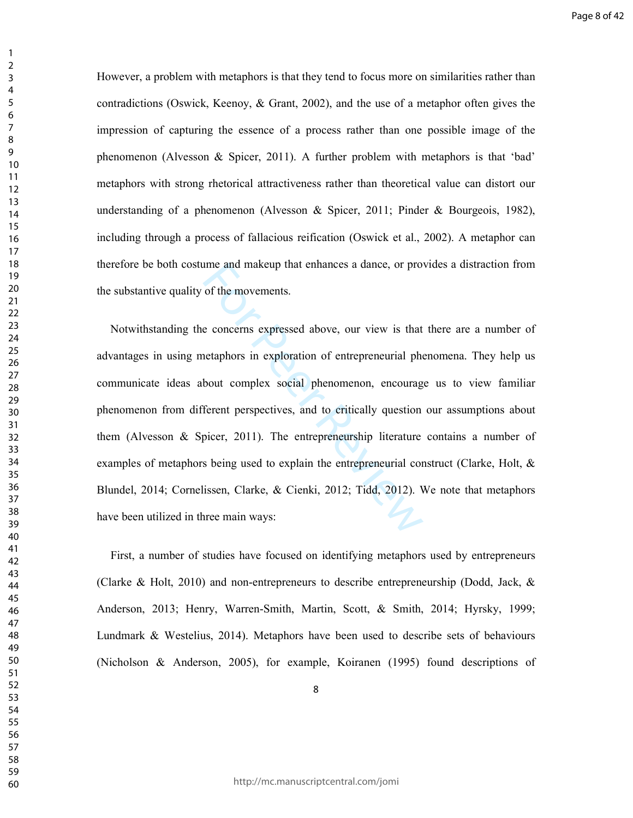However, a problem with metaphors is that they tend to focus more on similarities rather than contradictions (Oswick, Keenoy, & Grant, 2002), and the use of a metaphor often gives the impression of capturing the essence of a process rather than one possible image of the phenomenon (Alvesson & Spicer, 2011). A further problem with metaphors is that 'bad' metaphors with strong rhetorical attractiveness rather than theoretical value can distort our understanding of a phenomenon (Alvesson & Spicer, 2011; Pinder & Bourgeois, 1982), including through a process of fallacious reification (Oswick et al., 2002). A metaphor can therefore be both costume and makeup that enhances a dance, or provides a distraction from the substantive quality of the movements.

ime and makeup that enhances a dance, or pro-<br>of the movements.<br>e concerns expressed above, our view is that<br>netaphors in exploration of entrepreneurial phe<br>bout complex social phenomenon, encourag<br>ferent perspectives, and Notwithstanding the concerns expressed above, our view is that there are a number of advantages in using metaphors in exploration of entrepreneurial phenomena. They help us communicate ideas about complex social phenomenon, encourage us to view familiar phenomenon from different perspectives, and to critically question our assumptions about them (Alvesson  $\&$  Spicer, 2011). The entrepreneurship literature contains a number of examples of metaphors being used to explain the entrepreneurial construct (Clarke, Holt, & Blundel, 2014; Cornelissen, Clarke, & Cienki, 2012; Tidd, 2012). We note that metaphors have been utilized in three main ways:

First, a number of studies have focused on identifying metaphors used by entrepreneurs (Clarke & Holt, 2010) and non-entrepreneurs to describe entrepreneurship (Dodd, Jack, & Anderson, 2013; Henry, Warren-Smith, Martin, Scott, & Smith, 2014; Hyrsky, 1999; Lundmark & Westelius, 2014). Metaphors have been used to describe sets of behaviours (Nicholson & Anderson, 2005), for example, Koiranen (1995) found descriptions of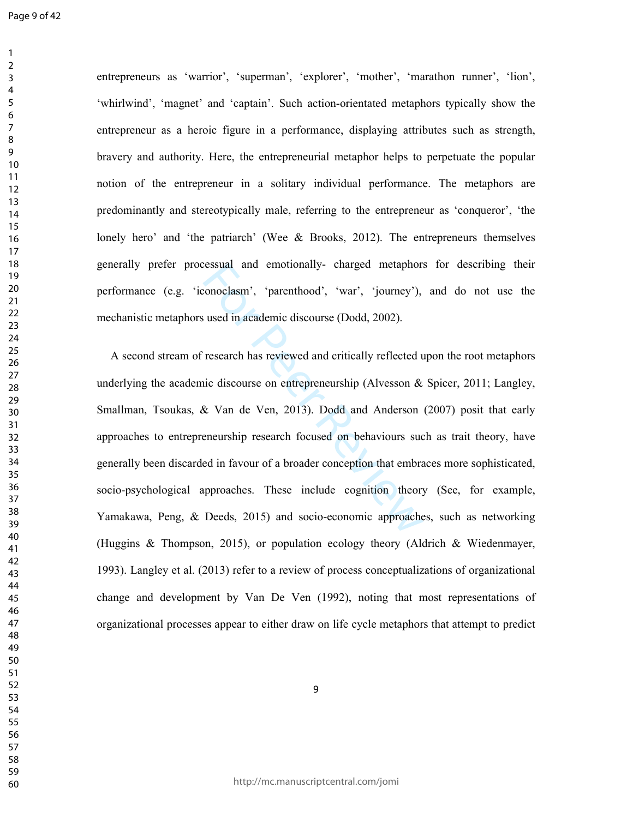Page 9 of 42

entrepreneurs as 'warrior', 'superman', 'explorer', 'mother', 'marathon runner', 'lion', 'whirlwind', 'magnet' and 'captain'. Such action-orientated metaphors typically show the entrepreneur as a heroic figure in a performance, displaying attributes such as strength, bravery and authority. Here, the entrepreneurial metaphor helps to perpetuate the popular notion of the entrepreneur in a solitary individual performance. The metaphors are predominantly and stereotypically male, referring to the entrepreneur as 'conqueror', 'the lonely hero' and 'the patriarch' (Wee & Brooks, 2012). The entrepreneurs themselves generally prefer processual and emotionally- charged metaphors for describing their performance (e.g. 'iconoclasm', 'parenthood', 'war', 'journey'), and do not use the mechanistic metaphors used in academic discourse (Dodd, 2002).

ressual and emotionally-charged metaphors<br>conoclasm', 'parenthood', 'war', 'journey'),<br>used in academic discourse (Dodd, 2002).<br>research has reviewed and critically reflected u<br>ic discourse on entrepreneurship (Alvesson &<br> A second stream of research has reviewed and critically reflected upon the root metaphors underlying the academic discourse on entrepreneurship (Alvesson & Spicer, 2011; Langley, Smallman, Tsoukas, & Van de Ven, 2013). Dodd and Anderson (2007) posit that early approaches to entrepreneurship research focused on behaviours such as trait theory, have generally been discarded in favour of a broader conception that embraces more sophisticated, socio-psychological approaches. These include cognition theory (See, for example, Yamakawa, Peng, & Deeds, 2015) and socio-economic approaches, such as networking (Huggins & Thompson, 2015), or population ecology theory (Aldrich & Wiedenmayer, 1993). Langley et al. (2013) refer to a review of process conceptualizations of organizational change and development by Van De Ven (1992), noting that most representations of organizational processes appear to either draw on life cycle metaphors that attempt to predict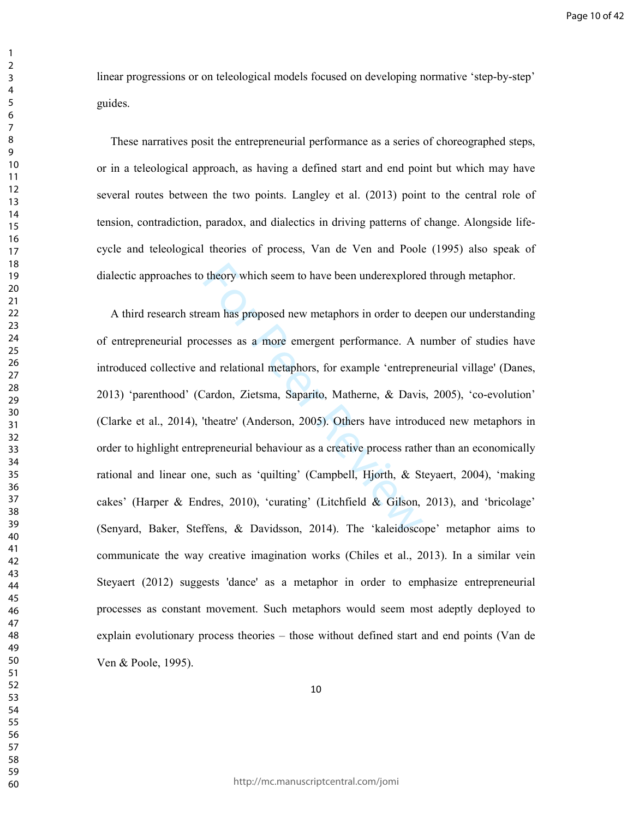linear progressions or on teleological models focused on developing normative 'step-by-step' guides.

These narratives posit the entrepreneurial performance as a series of choreographed steps, or in a teleological approach, as having a defined start and end point but which may have several routes between the two points. Langley et al. (2013) point to the central role of tension, contradiction, paradox, and dialectics in driving patterns of change. Alongside lifecycle and teleological theories of process, Van de Ven and Poole (1995) also speak of dialectic approaches to theory which seem to have been underexplored through metaphor.

theory which seem to have been underexplored<br>team has proposed new metaphors in order to de<br>cesses as a more emergent performance. A r<br>and relational metaphors, for example 'entrepre<br>Cardon, Zietsma, Saparito, Matherne, & A third research stream has proposed new metaphors in order to deepen our understanding of entrepreneurial processes as a more emergent performance. A number of studies have introduced collective and relational metaphors, for example 'entrepreneurial village' (Danes, 2013) 'parenthood' (Cardon, Zietsma, Saparito, Matherne, & Davis, 2005), 'co-evolution' (Clarke et al., 2014), 'theatre' (Anderson, 2005). Others have introduced new metaphors in order to highlight entrepreneurial behaviour as a creative process rather than an economically rational and linear one, such as 'quilting' (Campbell, Hjorth, & Steyaert, 2004), 'making cakes' (Harper & Endres, 2010), 'curating' (Litchfield & Gilson, 2013), and 'bricolage' (Senyard, Baker, Steffens, & Davidsson, 2014). The 'kaleidoscope' metaphor aims to communicate the way creative imagination works (Chiles et al., 2013). In a similar vein Steyaert (2012) suggests 'dance' as a metaphor in order to emphasize entrepreneurial processes as constant movement. Such metaphors would seem most adeptly deployed to explain evolutionary process theories – those without defined start and end points (Van de Ven & Poole, 1995).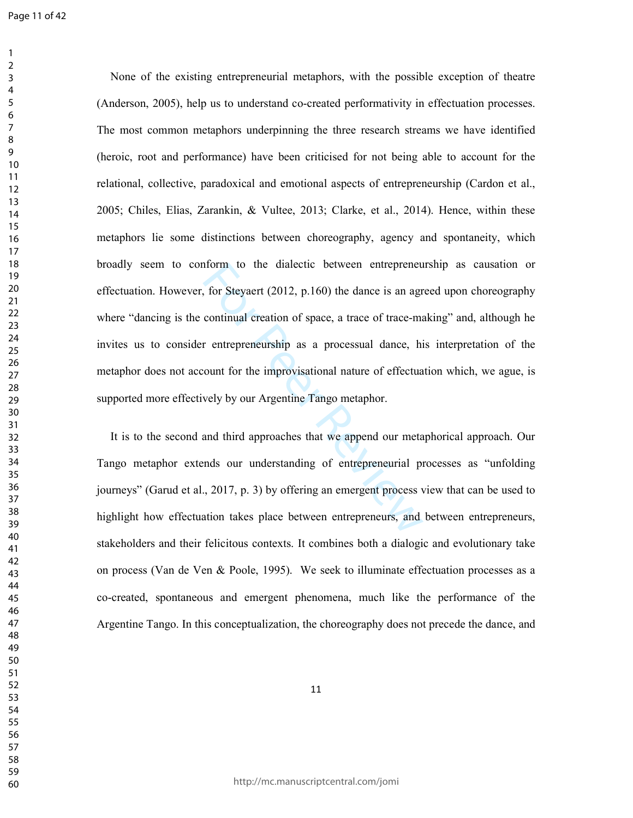form to the dialectic between entrepreneus, for Steyaert (2012, p.160) the dance is an agr continual creation of space, a trace of trace-mand rentrepreneurship as a processual dance, his count for the improvisational natur None of the existing entrepreneurial metaphors, with the possible exception of theatre (Anderson, 2005), help us to understand co-created performativity in effectuation processes. The most common metaphors underpinning the three research streams we have identified (heroic, root and performance) have been criticised for not being able to account for the relational, collective, paradoxical and emotional aspects of entrepreneurship (Cardon et al., 2005; Chiles, Elias, Zarankin, & Vultee, 2013; Clarke, et al., 2014). Hence, within these metaphors lie some distinctions between choreography, agency and spontaneity, which broadly seem to conform to the dialectic between entrepreneurship as causation or effectuation. However, for Steyaert (2012, p.160) the dance is an agreed upon choreography where "dancing is the continual creation of space, a trace of trace-making" and, although he invites us to consider entrepreneurship as a processual dance, his interpretation of the metaphor does not account for the improvisational nature of effectuation which, we ague, is supported more effectively by our Argentine Tango metaphor.

It is to the second and third approaches that we append our metaphorical approach. Our Tango metaphor extends our understanding of entrepreneurial processes as "unfolding journeys" (Garud et al., 2017, p. 3) by offering an emergent process view that can be used to highlight how effectuation takes place between entrepreneurs, and between entrepreneurs, stakeholders and their felicitous contexts. It combines both a dialogic and evolutionary take on process (Van de Ven & Poole, 1995). We seek to illuminate effectuation processes as a co-created, spontaneous and emergent phenomena, much like the performance of the Argentine Tango. In this conceptualization, the choreography does not precede the dance, and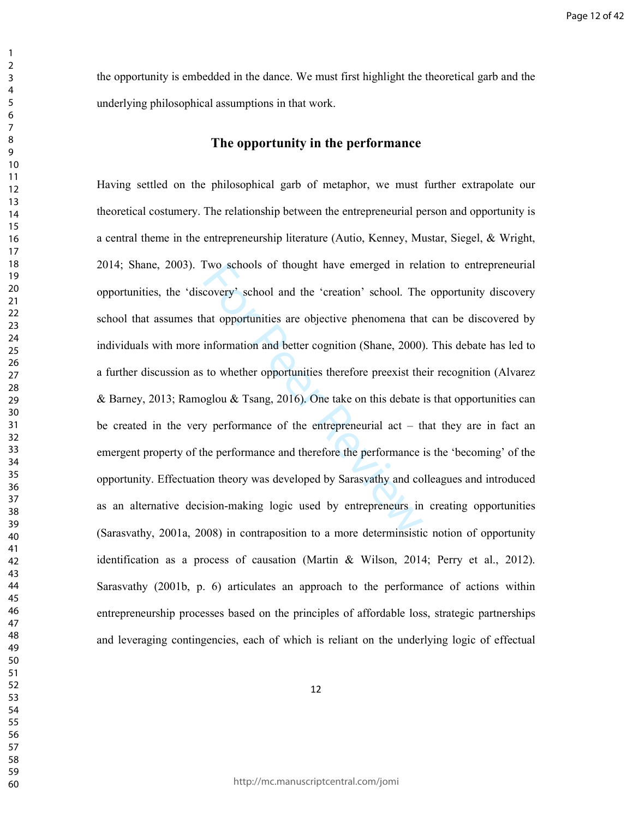the opportunity is embedded in the dance. We must first highlight the theoretical garb and the underlying philosophical assumptions in that work.

# **The opportunity in the performance**

I've schools of thought have emerged in relation covery' school and the 'creation' school. The ant opportunities are objective phenomena that information and better cognition (Shane, 2000) to whether opportunities therefo Having settled on the philosophical garb of metaphor, we must further extrapolate our theoretical costumery. The relationship between the entrepreneurial person and opportunity is a central theme in the entrepreneurship literature (Autio, Kenney, Mustar, Siegel, & Wright, 2014; Shane, 2003). Two schools of thought have emerged in relation to entrepreneurial opportunities, the 'discovery' school and the 'creation' school. The opportunity discovery school that assumes that opportunities are objective phenomena that can be discovered by individuals with more information and better cognition (Shane, 2000). This debate has led to a further discussion as to whether opportunities therefore preexist their recognition (Alvarez & Barney, 2013; Ramoglou & Tsang, 2016). One take on this debate is that opportunities can be created in the very performance of the entrepreneurial act – that they are in fact an emergent property of the performance and therefore the performance is the 'becoming' of the opportunity. Effectuation theory was developed by Sarasvathy and colleagues and introduced as an alternative decision-making logic used by entrepreneurs in creating opportunities (Sarasvathy, 2001a, 2008) in contraposition to a more determinsistic notion of opportunity identification as a process of causation (Martin & Wilson, 2014; Perry et al., 2012). Sarasvathy (2001b, p. 6) articulates an approach to the performance of actions within entrepreneurship processes based on the principles of affordable loss, strategic partnerships and leveraging contingencies, each of which is reliant on the underlying logic of effectual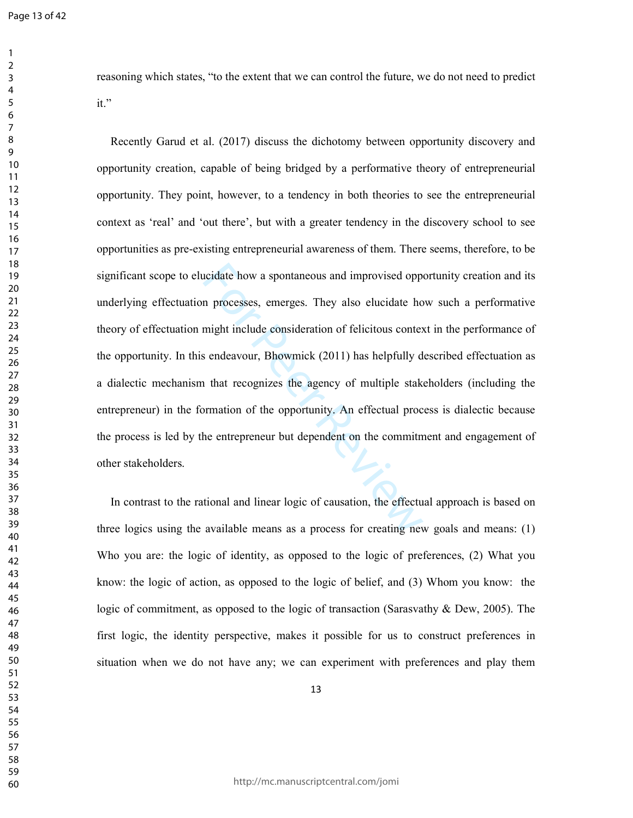reasoning which states, "to the extent that we can control the future, we do not need to predict it."

increases and improvised opponuncy and improvised opponuncy processes, emerges. They also elucidate homight include consideration of felicitous contesting and each consideration of felicitous contest and that recognizes th Recently Garud et al. (2017) discuss the dichotomy between opportunity discovery and opportunity creation, capable of being bridged by a performative theory of entrepreneurial opportunity. They point, however, to a tendency in both theories to see the entrepreneurial context as 'real' and 'out there', but with a greater tendency in the discovery school to see opportunities as pre-existing entrepreneurial awareness of them. There seems, therefore, to be significant scope to elucidate how a spontaneous and improvised opportunity creation and its underlying effectuation processes, emerges. They also elucidate how such a performative theory of effectuation might include consideration of felicitous context in the performance of the opportunity. In this endeavour, Bhowmick (2011) has helpfully described effectuation as a dialectic mechanism that recognizes the agency of multiple stakeholders (including the entrepreneur) in the formation of the opportunity. An effectual process is dialectic because the process is led by the entrepreneur but dependent on the commitment and engagement of other stakeholders.

In contrast to the rational and linear logic of causation, the effectual approach is based on three logics using the available means as a process for creating new goals and means: (1) Who you are: the logic of identity, as opposed to the logic of preferences, (2) What you know: the logic of action, as opposed to the logic of belief, and (3) Whom you know: the logic of commitment, as opposed to the logic of transaction (Sarasvathy & Dew, 2005). The first logic, the identity perspective, makes it possible for us to construct preferences in situation when we do not have any; we can experiment with preferences and play them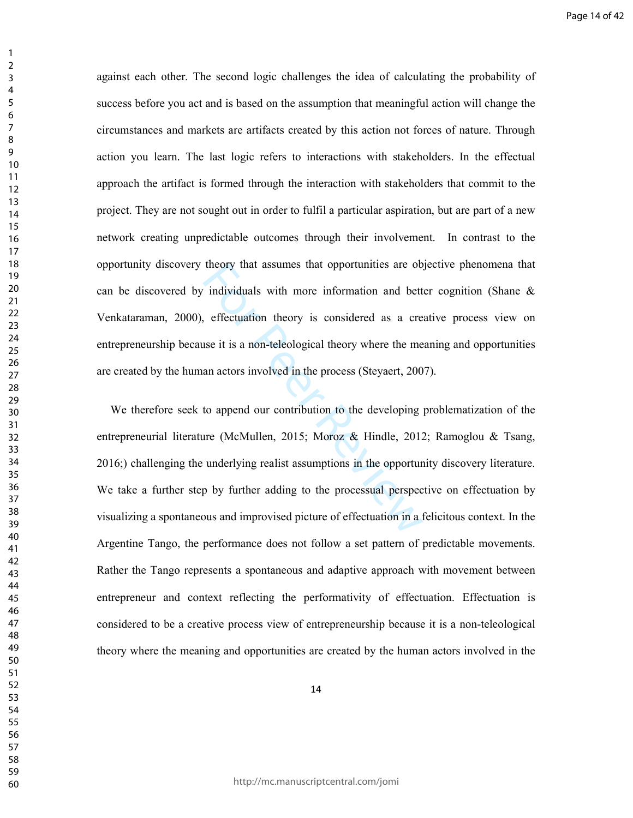against each other. The second logic challenges the idea of calculating the probability of success before you act and is based on the assumption that meaningful action will change the circumstances and markets are artifacts created by this action not forces of nature. Through action you learn. The last logic refers to interactions with stakeholders. In the effectual approach the artifact is formed through the interaction with stakeholders that commit to the project. They are not sought out in order to fulfil a particular aspiration, but are part of a new network creating unpredictable outcomes through their involvement. In contrast to the opportunity discovery theory that assumes that opportunities are objective phenomena that can be discovered by individuals with more information and better cognition (Shane & Venkataraman, 2000), effectuation theory is considered as a creative process view on entrepreneurship because it is a non-teleological theory where the meaning and opportunities are created by the human actors involved in the process (Steyaert, 2007).

theory that assumes that opportunities are objectively individuals with more information and bett, effectuation theory is considered as a crease it is a non-teleological theory where the me an actors involved in the proces We therefore seek to append our contribution to the developing problematization of the entrepreneurial literature (McMullen, 2015; Moroz & Hindle, 2012; Ramoglou & Tsang, 2016;) challenging the underlying realist assumptions in the opportunity discovery literature. We take a further step by further adding to the processual perspective on effectuation by visualizing a spontaneous and improvised picture of effectuation in a felicitous context. In the Argentine Tango, the performance does not follow a set pattern of predictable movements. Rather the Tango represents a spontaneous and adaptive approach with movement between entrepreneur and context reflecting the performativity of effectuation. Effectuation is considered to be a creative process view of entrepreneurship because it is a non-teleological theory where the meaning and opportunities are created by the human actors involved in the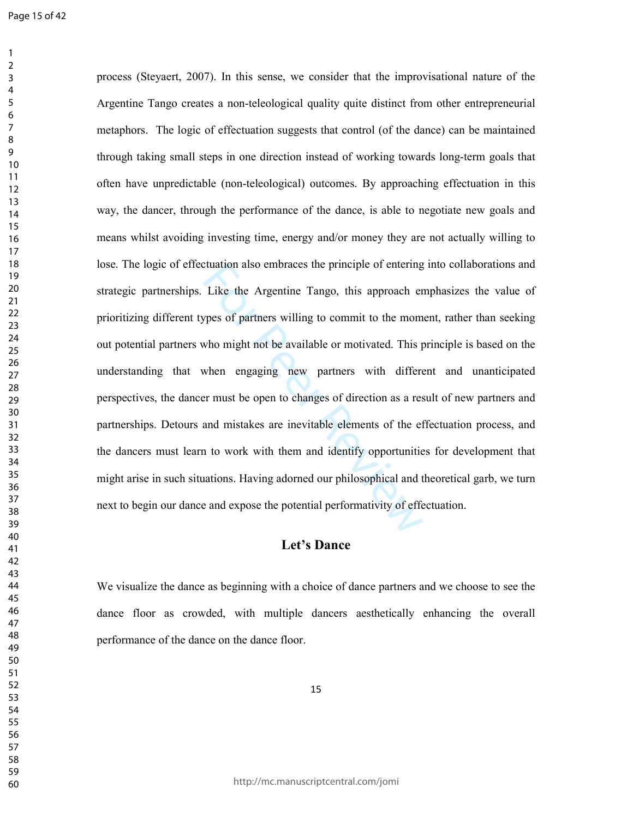Example of entering<br>Like the Argentine Tango, this approach er<br>press of partners willing to commit to the mom<br>who might not be available or motivated. This p<br>when engaging new partners with differe<br>er must be open to chang process (Steyaert, 2007). In this sense, we consider that the improvisational nature of the Argentine Tango creates a non-teleological quality quite distinct from other entrepreneurial metaphors. The logic of effectuation suggests that control (of the dance) can be maintained through taking small steps in one direction instead of working towards long-term goals that often have unpredictable (non-teleological) outcomes. By approaching effectuation in this way, the dancer, through the performance of the dance, is able to negotiate new goals and means whilst avoiding investing time, energy and/or money they are not actually willing to lose. The logic of effectuation also embraces the principle of entering into collaborations and strategic partnerships. Like the Argentine Tango, this approach emphasizes the value of prioritizing different types of partners willing to commit to the moment, rather than seeking out potential partners who might not be available or motivated. This principle is based on the understanding that when engaging new partners with different and unanticipated perspectives, the dancer must be open to changes of direction as a result of new partners and partnerships. Detours and mistakes are inevitable elements of the effectuation process, and the dancers must learn to work with them and identify opportunities for development that might arise in such situations. Having adorned our philosophical and theoretical garb, we turn next to begin our dance and expose the potential performativity of effectuation.

# **Let's Dance**

We visualize the dance as beginning with a choice of dance partners and we choose to see the dance floor as crowded, with multiple dancers aesthetically enhancing the overall performance of the dance on the dance floor.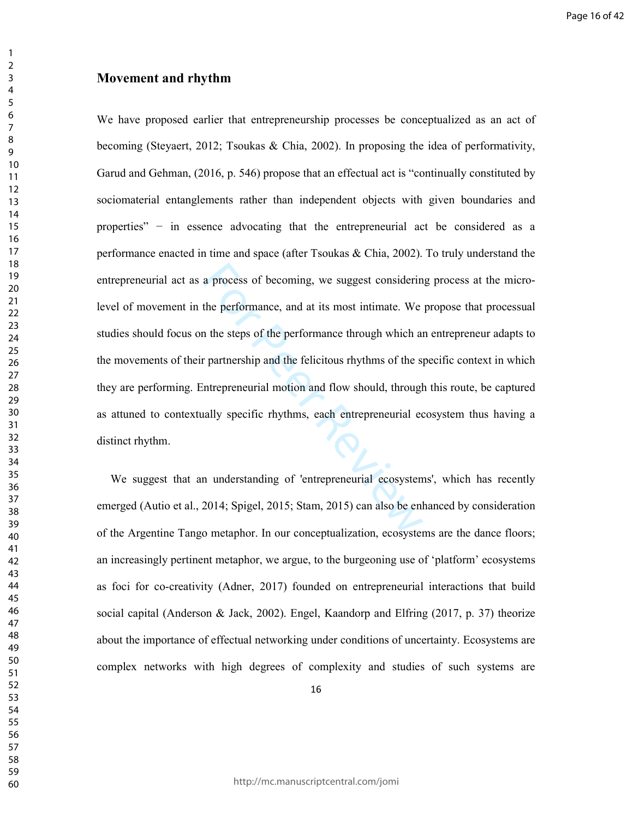#### **Movement and rhythm**

a process of becoming, we suggest considerin<br>the performance, and at its most intimate. We<br>is the steps of the performance through which as<br>the steps of the performance through which as<br>partnership and the felicitious rhyt We have proposed earlier that entrepreneurship processes be conceptualized as an act of becoming (Steyaert, 2012; Tsoukas & Chia, 2002). In proposing the idea of performativity, Garud and Gehman, (2016, p. 546) propose that an effectual act is "continually constituted by sociomaterial entanglements rather than independent objects with given boundaries and properties" – in essence advocating that the entrepreneurial act be considered as a performance enacted in time and space (after Tsoukas & Chia, 2002). To truly understand the entrepreneurial act as a process of becoming, we suggest considering process at the microlevel of movement in the performance, and at its most intimate. We propose that processual studies should focus on the steps of the performance through which an entrepreneur adapts to the movements of their partnership and the felicitous rhythms of the specific context in which they are performing. Entrepreneurial motion and flow should, through this route, be captured as attuned to contextually specific rhythms, each entrepreneurial ecosystem thus having a distinct rhythm.

We suggest that an understanding of 'entrepreneurial ecosystems', which has recently emerged (Autio et al., 2014; Spigel, 2015; Stam, 2015) can also be enhanced by consideration of the Argentine Tango metaphor. In our conceptualization, ecosystems are the dance floors; an increasingly pertinent metaphor, we argue, to the burgeoning use of 'platform' ecosystems as foci for co-creativity (Adner, 2017) founded on entrepreneurial interactions that build social capital (Anderson & Jack, 2002). Engel, Kaandorp and Elfring (2017, p. 37) theorize about the importance of effectual networking under conditions of uncertainty. Ecosystems are complex networks with high degrees of complexity and studies of such systems are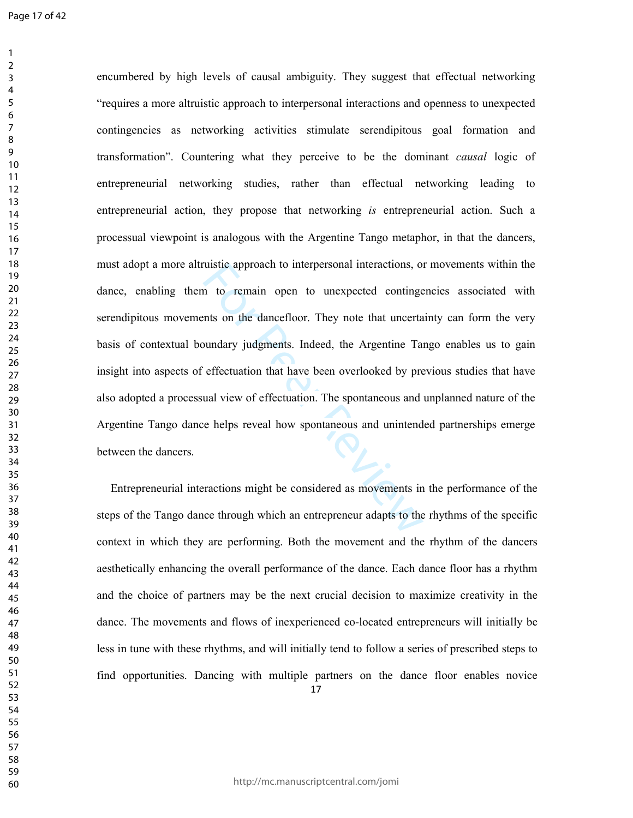Fractions, or<br>in to remain open to unexpected contingents on the dancefloor. They note that uncerta<br>bundary judgments. Indeed, the Argentine Tareffectuation that have been overlooked by pre<br>ual view of effectuation. The sp encumbered by high levels of causal ambiguity. They suggest that effectual networking "requires a more altruistic approach to interpersonal interactions and openness to unexpected contingencies as networking activities stimulate serendipitous goal formation and transformation". Countering what they perceive to be the dominant *causal* logic of entrepreneurial networking studies, rather than effectual networking leading to entrepreneurial action, they propose that networking *is* entrepreneurial action. Such a processual viewpoint is analogous with the Argentine Tango metaphor, in that the dancers, must adopt a more altruistic approach to interpersonal interactions, or movements within the dance, enabling them to remain open to unexpected contingencies associated with serendipitous movements on the dancefloor. They note that uncertainty can form the very basis of contextual boundary judgments. Indeed, the Argentine Tango enables us to gain insight into aspects of effectuation that have been overlooked by previous studies that have also adopted a processual view of effectuation. The spontaneous and unplanned nature of the Argentine Tango dance helps reveal how spontaneous and unintended partnerships emerge between the dancers.

 Entrepreneurial interactions might be considered as movements in the performance of the steps of the Tango dance through which an entrepreneur adapts to the rhythms of the specific context in which they are performing. Both the movement and the rhythm of the dancers aesthetically enhancing the overall performance of the dance. Each dance floor has a rhythm and the choice of partners may be the next crucial decision to maximize creativity in the dance. The movements and flows of inexperienced co-located entrepreneurs will initially be less in tune with these rhythms, and will initially tend to follow a series of prescribed steps to find opportunities. Dancing with multiple partners on the dance floor enables novice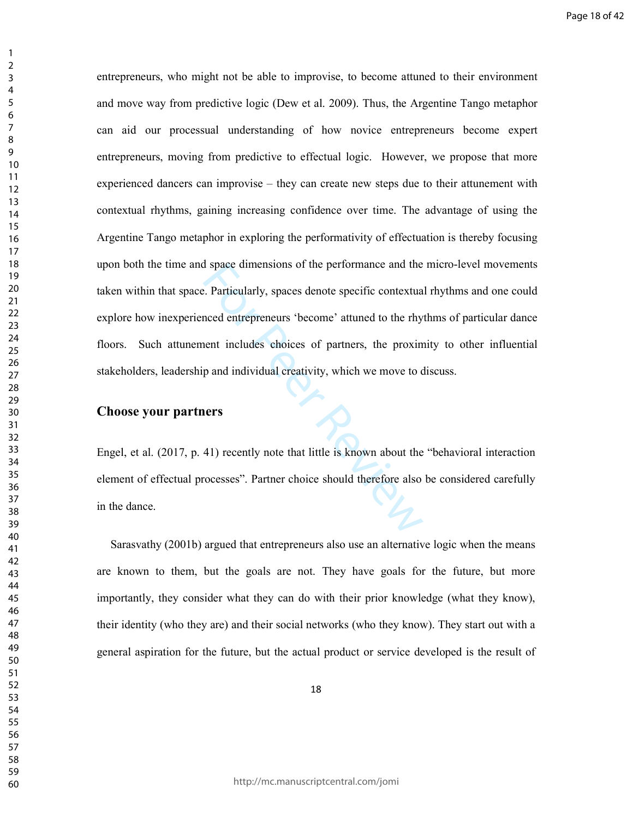Example and the performance and the performance and the example and the example and the example of the example and individual creativity, which we move to compare and individual creativity, which we move to context paid in entrepreneurs, who might not be able to improvise, to become attuned to their environment and move way from predictive logic (Dew et al. 2009). Thus, the Argentine Tango metaphor can aid our processual understanding of how novice entrepreneurs become expert entrepreneurs, moving from predictive to effectual logic. However, we propose that more experienced dancers can improvise – they can create new steps due to their attunement with contextual rhythms, gaining increasing confidence over time. The advantage of using the Argentine Tango metaphor in exploring the performativity of effectuation is thereby focusing upon both the time and space dimensions of the performance and the micro-level movements taken within that space. Particularly, spaces denote specific contextual rhythms and one could explore how inexperienced entrepreneurs 'become' attuned to the rhythms of particular dance floors. Such attunement includes choices of partners, the proximity to other influential stakeholders, leadership and individual creativity, which we move to discuss.

#### **Choose your partners**

Engel, et al. (2017, p. 41) recently note that little is known about the "behavioral interaction element of effectual processes". Partner choice should therefore also be considered carefully in the dance.

Sarasvathy (2001b) argued that entrepreneurs also use an alternative logic when the means are known to them, but the goals are not. They have goals for the future, but more importantly, they consider what they can do with their prior knowledge (what they know), their identity (who they are) and their social networks (who they know). They start out with a general aspiration for the future, but the actual product or service developed is the result of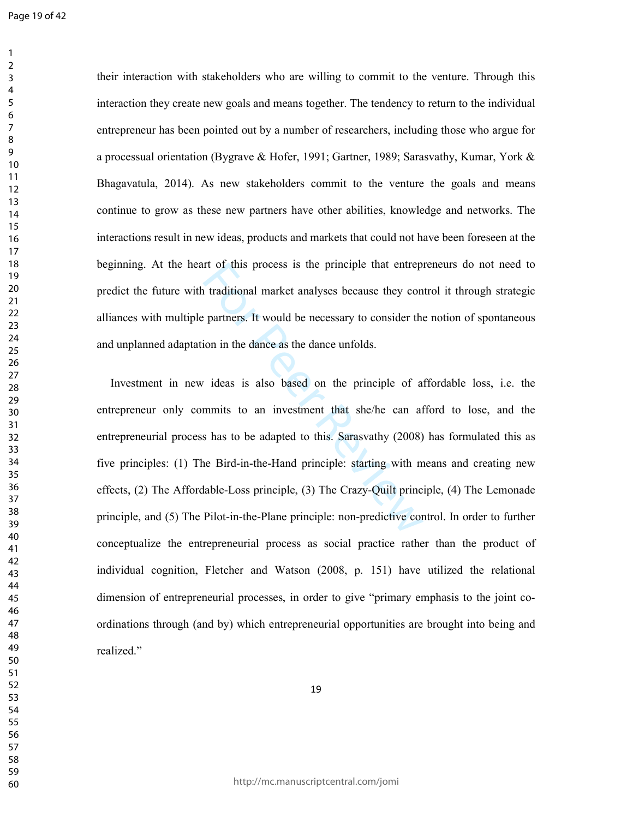their interaction with stakeholders who are willing to commit to the venture. Through this interaction they create new goals and means together. The tendency to return to the individual entrepreneur has been pointed out by a number of researchers, including those who argue for a processual orientation (Bygrave & Hofer, 1991; Gartner, 1989; Sarasvathy, Kumar, York & Bhagavatula, 2014). As new stakeholders commit to the venture the goals and means continue to grow as these new partners have other abilities, knowledge and networks. The interactions result in new ideas, products and markets that could not have been foreseen at the beginning. At the heart of this process is the principle that entrepreneurs do not need to predict the future with traditional market analyses because they control it through strategic alliances with multiple partners. It would be necessary to consider the notion of spontaneous and unplanned adaptation in the dance as the dance unfolds.

It of this process is the principle that entreption<br>traditional market analyses because they con<br>partners. It would be necessary to consider the<br>ion in the dance as the dance unfolds.<br>Traditional is also based on the princ Investment in new ideas is also based on the principle of affordable loss, i.e. the entrepreneur only commits to an investment that she/he can afford to lose, and the entrepreneurial process has to be adapted to this. Sarasvathy (2008) has formulated this as five principles: (1) The Bird-in-the-Hand principle: starting with means and creating new effects, (2) The Affordable-Loss principle, (3) The Crazy-Quilt principle, (4) The Lemonade principle, and (5) The Pilot-in-the-Plane principle: non-predictive control. In order to further conceptualize the entrepreneurial process as social practice rather than the product of individual cognition, Fletcher and Watson (2008, p. 151) have utilized the relational dimension of entrepreneurial processes, in order to give "primary emphasis to the joint coordinations through (and by) which entrepreneurial opportunities are brought into being and realized."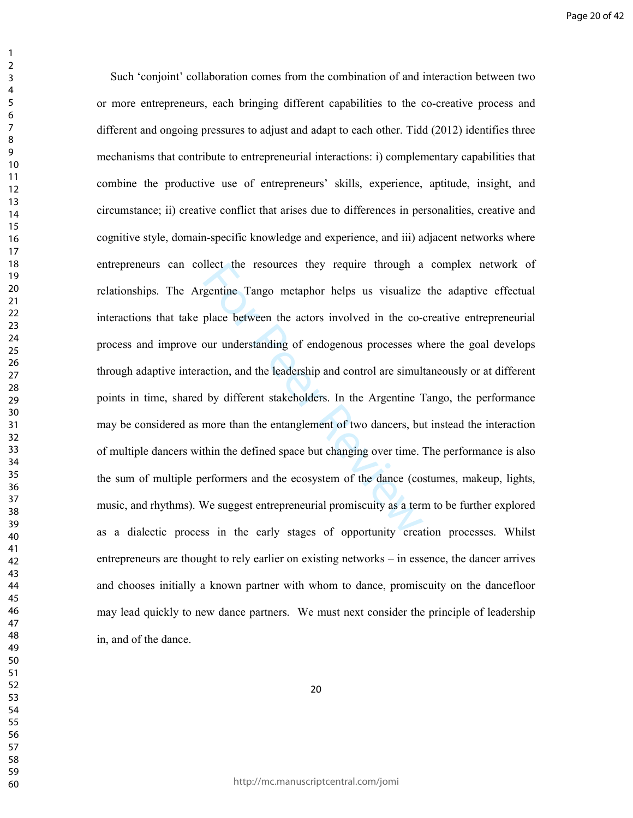flect the resources they require through a<br>gentine Tango metaphor helps us visualize<br>place between the actors involved in the co-<br>our understanding of endogenous processes w<br>action, and the leadership and control are simul Such 'conjoint' collaboration comes from the combination of and interaction between two or more entrepreneurs, each bringing different capabilities to the co-creative process and different and ongoing pressures to adjust and adapt to each other. Tidd (2012) identifies three mechanisms that contribute to entrepreneurial interactions: i) complementary capabilities that combine the productive use of entrepreneurs' skills, experience, aptitude, insight, and circumstance; ii) creative conflict that arises due to differences in personalities, creative and cognitive style, domain-specific knowledge and experience, and iii) adjacent networks where entrepreneurs can collect the resources they require through a complex network of relationships. The Argentine Tango metaphor helps us visualize the adaptive effectual interactions that take place between the actors involved in the co-creative entrepreneurial process and improve our understanding of endogenous processes where the goal develops through adaptive interaction, and the leadership and control are simultaneously or at different points in time, shared by different stakeholders. In the Argentine Tango, the performance may be considered as more than the entanglement of two dancers, but instead the interaction of multiple dancers within the defined space but changing over time. The performance is also the sum of multiple performers and the ecosystem of the dance (costumes, makeup, lights, music, and rhythms). We suggest entrepreneurial promiscuity as a term to be further explored as a dialectic process in the early stages of opportunity creation processes. Whilst entrepreneurs are thought to rely earlier on existing networks – in essence, the dancer arrives and chooses initially a known partner with whom to dance, promiscuity on the dancefloor may lead quickly to new dance partners. We must next consider the principle of leadership in, and of the dance.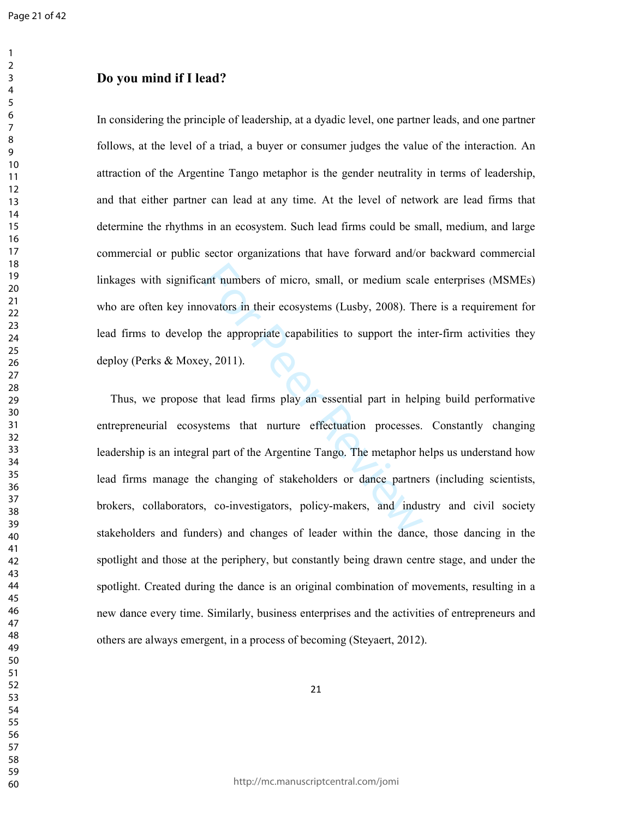# **Do you mind if I lead?**

In considering the principle of leadership, at a dyadic level, one partner leads, and one partner follows, at the level of a triad, a buyer or consumer judges the value of the interaction. An attraction of the Argentine Tango metaphor is the gender neutrality in terms of leadership, and that either partner can lead at any time. At the level of network are lead firms that determine the rhythms in an ecosystem. Such lead firms could be small, medium, and large commercial or public sector organizations that have forward and/or backward commercial linkages with significant numbers of micro, small, or medium scale enterprises (MSMEs) who are often key innovators in their ecosystems (Lusby, 2008). There is a requirement for lead firms to develop the appropriate capabilities to support the inter-firm activities they deploy (Perks & Moxey, 2011).

ant numbers of micro, small, or medium scal<br>ovators in their ecosystems (Lusby, 2008). The<br>the appropriate capabilities to support the ir<br>y, 2011).<br>that lead firms play an essential part in help<br>stems that nurture effectua Thus, we propose that lead firms play an essential part in helping build performative entrepreneurial ecosystems that nurture effectuation processes. Constantly changing leadership is an integral part of the Argentine Tango. The metaphor helps us understand how lead firms manage the changing of stakeholders or dance partners (including scientists, brokers, collaborators, co-investigators, policy-makers, and industry and civil society stakeholders and funders) and changes of leader within the dance, those dancing in the spotlight and those at the periphery, but constantly being drawn centre stage, and under the spotlight. Created during the dance is an original combination of movements, resulting in a new dance every time. Similarly, business enterprises and the activities of entrepreneurs and others are always emergent, in a process of becoming (Steyaert, 2012).

http://mc.manuscriptcentral.com/jomi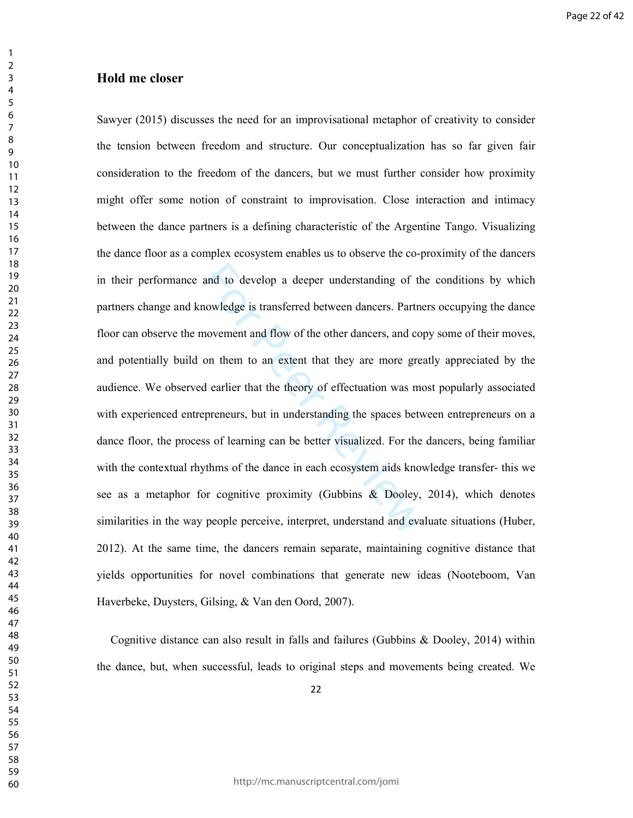#### **Hold me closer**

and to develop a deeper understanding of th<br>nowledge is transferred between dancers. Partne<br>novement and flow of the other dancers, and co<br>on them to an extent that they are more gree<br>d earlier that the theory of effectuat Sawyer (2015) discusses the need for an improvisational metaphor of creativity to consider the tension between freedom and structure. Our conceptualization has so far given fair consideration to the freedom of the dancers, but we must further consider how proximity might offer some notion of constraint to improvisation. Close interaction and intimacy between the dance partners is a defining characteristic of the Argentine Tango. Visualizing the dance floor as a complex ecosystem enables us to observe the co-proximity of the dancers in their performance and to develop a deeper understanding of the conditions by which partners change and knowledge is transferred between dancers. Partners occupying the dance floor can observe the movement and flow of the other dancers, and copy some of their moves, and potentially build on them to an extent that they are more greatly appreciated by the audience. We observed earlier that the theory of effectuation was most popularly associated with experienced entrepreneurs, but in understanding the spaces between entrepreneurs on a dance floor, the process of learning can be better visualized. For the dancers, being familiar with the contextual rhythms of the dance in each ecosystem aids knowledge transfer- this we see as a metaphor for cognitive proximity (Gubbins & Dooley, 2014), which denotes similarities in the way people perceive, interpret, understand and evaluate situations (Huber, 2012). At the same time, the dancers remain separate, maintaining cognitive distance that yields opportunities for novel combinations that generate new ideas (Nooteboom, Van Haverbeke, Duysters, Gilsing, & Van den Oord, 2007).

Cognitive distance can also result in falls and failures (Gubbins & Dooley, 2014) within the dance, but, when successful, leads to original steps and movements being created. We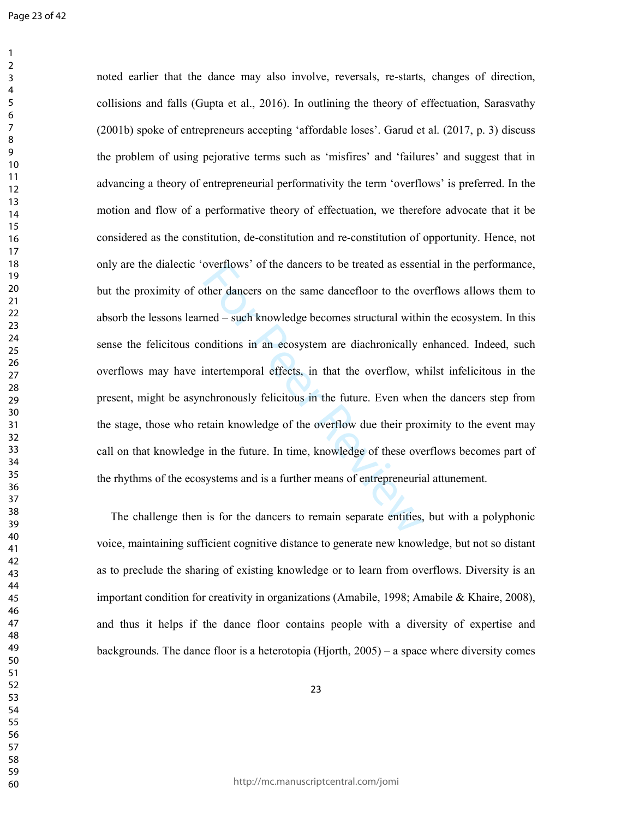overtiows' of the dancers to be treated as essent<br>ther dancers on the same dancefloor to the ov<br>ned – such knowledge becomes structural within<br>onditions in an ecosystem are diachronically (intertemporal effects, in that th noted earlier that the dance may also involve, reversals, re-starts, changes of direction, collisions and falls (Gupta et al., 2016). In outlining the theory of effectuation, Sarasvathy (2001b) spoke of entrepreneurs accepting 'affordable loses'. Garud et al. (2017, p. 3) discuss the problem of using pejorative terms such as 'misfires' and 'failures' and suggest that in advancing a theory of entrepreneurial performativity the term 'overflows' is preferred. In the motion and flow of a performative theory of effectuation, we therefore advocate that it be considered as the constitution, de-constitution and re-constitution of opportunity. Hence, not only are the dialectic 'overflows' of the dancers to be treated as essential in the performance, but the proximity of other dancers on the same dancefloor to the overflows allows them to absorb the lessons learned – such knowledge becomes structural within the ecosystem. In this sense the felicitous conditions in an ecosystem are diachronically enhanced. Indeed, such overflows may have intertemporal effects, in that the overflow, whilst infelicitous in the present, might be asynchronously felicitous in the future. Even when the dancers step from the stage, those who retain knowledge of the overflow due their proximity to the event may call on that knowledge in the future. In time, knowledge of these overflows becomes part of the rhythms of the ecosystems and is a further means of entrepreneurial attunement.

The challenge then is for the dancers to remain separate entities, but with a polyphonic voice, maintaining sufficient cognitive distance to generate new knowledge, but not so distant as to preclude the sharing of existing knowledge or to learn from overflows. Diversity is an important condition for creativity in organizations (Amabile, 1998; Amabile & Khaire, 2008), and thus it helps if the dance floor contains people with a diversity of expertise and backgrounds. The dance floor is a heterotopia (Hjorth, 2005) – a space where diversity comes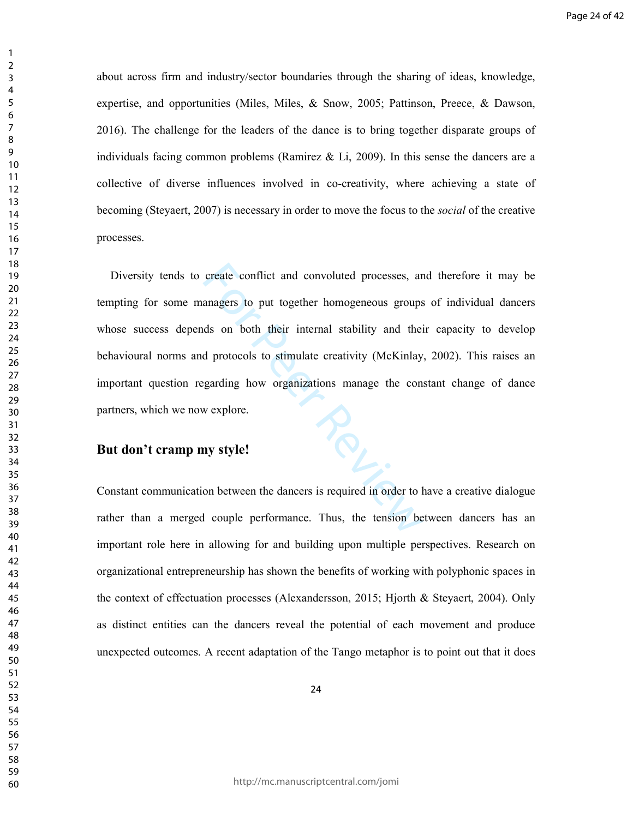about across firm and industry/sector boundaries through the sharing of ideas, knowledge, expertise, and opportunities (Miles, Miles, & Snow, 2005; Pattinson, Preece, & Dawson, 2016). The challenge for the leaders of the dance is to bring together disparate groups of individuals facing common problems (Ramirez & Li, 2009). In this sense the dancers are a collective of diverse influences involved in co-creativity, where achieving a state of becoming (Steyaert, 2007) is necessary in order to move the focus to the *social* of the creative processes.

 $P_{\mathcal{O}_{L}}$ Diversity tends to create conflict and convoluted processes, and therefore it may be tempting for some managers to put together homogeneous groups of individual dancers whose success depends on both their internal stability and their capacity to develop behavioural norms and protocols to stimulate creativity (McKinlay, 2002). This raises an important question regarding how organizations manage the constant change of dance partners, which we now explore.

# **But don't cramp my style!**

Constant communication between the dancers is required in order to have a creative dialogue rather than a merged couple performance. Thus, the tension between dancers has an important role here in allowing for and building upon multiple perspectives. Research on organizational entrepreneurship has shown the benefits of working with polyphonic spaces in the context of effectuation processes (Alexandersson, 2015; Hjorth & Steyaert, 2004). Only as distinct entities can the dancers reveal the potential of each movement and produce unexpected outcomes. A recent adaptation of the Tango metaphor is to point out that it does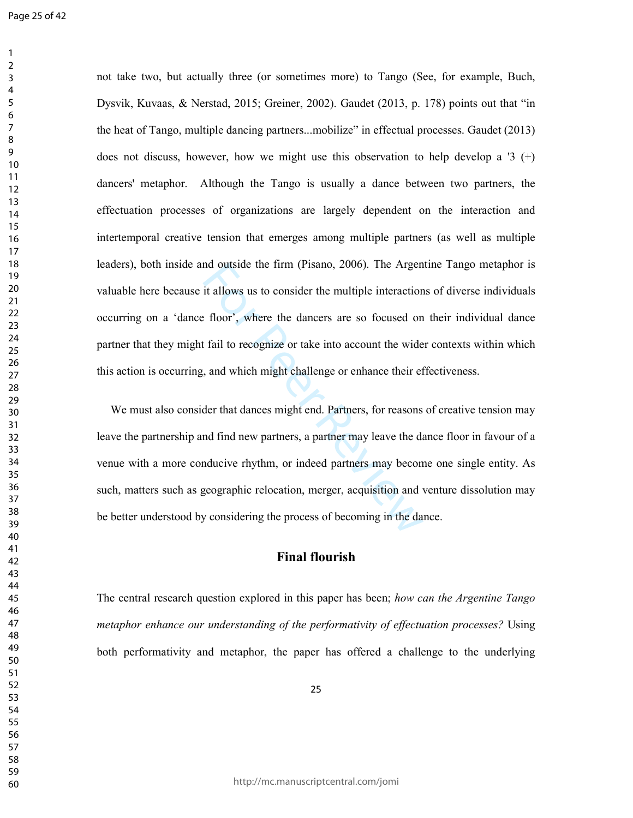not take two, but actually three (or sometimes more) to Tango (See, for example, Buch, Dysvik, Kuvaas, & Nerstad, 2015; Greiner, 2002). Gaudet (2013, p. 178) points out that "in the heat of Tango, multiple dancing partners...mobilize" in effectual processes. Gaudet (2013) does not discuss, however, how we might use this observation to help develop a '3  $(+)$ dancers' metaphor. Although the Tango is usually a dance between two partners, the effectuation processes of organizations are largely dependent on the interaction and intertemporal creative tension that emerges among multiple partners (as well as multiple leaders), both inside and outside the firm (Pisano, 2006). The Argentine Tango metaphor is valuable here because it allows us to consider the multiple interactions of diverse individuals occurring on a 'dance floor', where the dancers are so focused on their individual dance partner that they might fail to recognize or take into account the wider contexts within which this action is occurring, and which might challenge or enhance their effectiveness.

nd outside the firm (Pisano, 2006). The Argen<br>it allows us to consider the multiple interaction<br>floor', where the dancers are so focused on<br>fail to recognize or take into account the wide<br>, and which might challenge or enh We must also consider that dances might end. Partners, for reasons of creative tension may leave the partnership and find new partners, a partner may leave the dance floor in favour of a venue with a more conducive rhythm, or indeed partners may become one single entity. As such, matters such as geographic relocation, merger, acquisition and venture dissolution may be better understood by considering the process of becoming in the dance.

## **Final flourish**

The central research question explored in this paper has been; *how can the Argentine Tango metaphor enhance our understanding of the performativity of effectuation processes?* Using both performativity and metaphor, the paper has offered a challenge to the underlying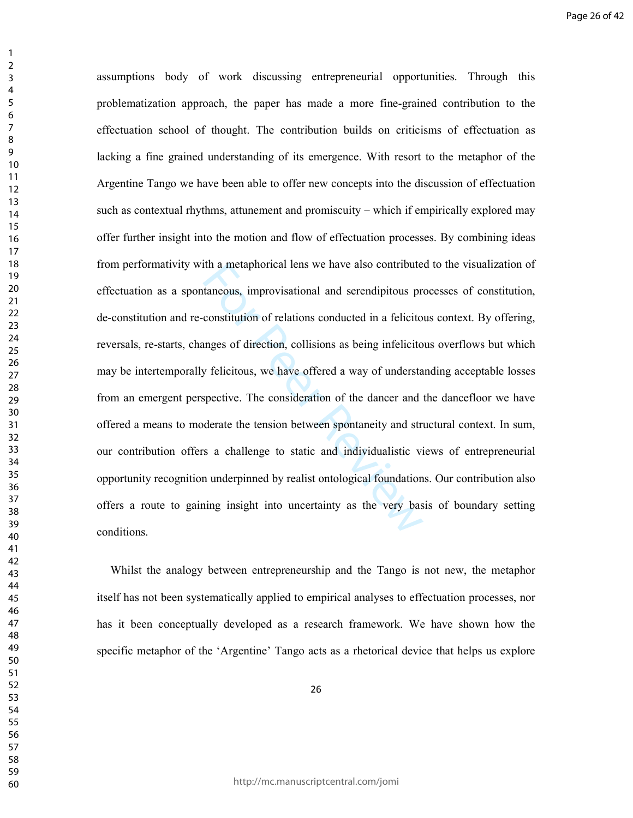It a metaphorical lens we have also contribute<br>taneous, improvisational and serendipitous preconstitution of relations conducted in a felicito<br>unges of direction, collisions as being infelicito<br>y felicitous, we have offere assumptions body of work discussing entrepreneurial opportunities. Through this problematization approach, the paper has made a more fine-grained contribution to the effectuation school of thought. The contribution builds on criticisms of effectuation as lacking a fine grained understanding of its emergence. With resort to the metaphor of the Argentine Tango we have been able to offer new concepts into the discussion of effectuation such as contextual rhythms, attunement and promiscuity – which if empirically explored may offer further insight into the motion and flow of effectuation processes. By combining ideas from performativity with a metaphorical lens we have also contributed to the visualization of effectuation as a spontaneous, improvisational and serendipitous processes of constitution, de-constitution and re-constitution of relations conducted in a felicitous context. By offering, reversals, re-starts, changes of direction, collisions as being infelicitous overflows but which may be intertemporally felicitous, we have offered a way of understanding acceptable losses from an emergent perspective. The consideration of the dancer and the dancefloor we have offered a means to moderate the tension between spontaneity and structural context. In sum, our contribution offers a challenge to static and individualistic views of entrepreneurial opportunity recognition underpinned by realist ontological foundations. Our contribution also offers a route to gaining insight into uncertainty as the very basis of boundary setting conditions.

Whilst the analogy between entrepreneurship and the Tango is not new, the metaphor itself has not been systematically applied to empirical analyses to effectuation processes, nor has it been conceptually developed as a research framework. We have shown how the specific metaphor of the 'Argentine' Tango acts as a rhetorical device that helps us explore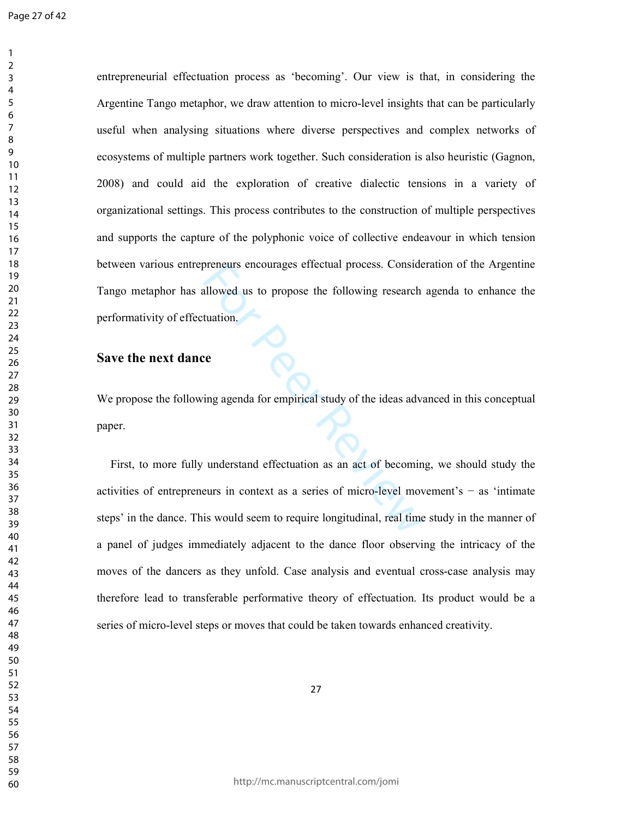entrepreneurial effectuation process as 'becoming'. Our view is that, in considering the Argentine Tango metaphor, we draw attention to micro-level insights that can be particularly useful when analysing situations where diverse perspectives and complex networks of ecosystems of multiple partners work together. Such consideration is also heuristic (Gagnon, 2008) and could aid the exploration of creative dialectic tensions in a variety of organizational settings. This process contributes to the construction of multiple perspectives and supports the capture of the polyphonic voice of collective endeavour in which tension between various entrepreneurs encourages effectual process. Consideration of the Argentine Tango metaphor has allowed us to propose the following research agenda to enhance the performativity of effectuation.

## **Save the next dance**

We propose the following agenda for empirical study of the ideas advanced in this conceptual paper.

For Peer Review First, to more fully understand effectuation as an act of becoming, we should study the activities of entrepreneurs in context as a series of micro-level movement's − as 'intimate steps' in the dance. This would seem to require longitudinal, real time study in the manner of a panel of judges immediately adjacent to the dance floor observing the intricacy of the moves of the dancers as they unfold. Case analysis and eventual cross-case analysis may therefore lead to transferable performative theory of effectuation. Its product would be a series of micro-level steps or moves that could be taken towards enhanced creativity.

http://mc.manuscriptcentral.com/jomi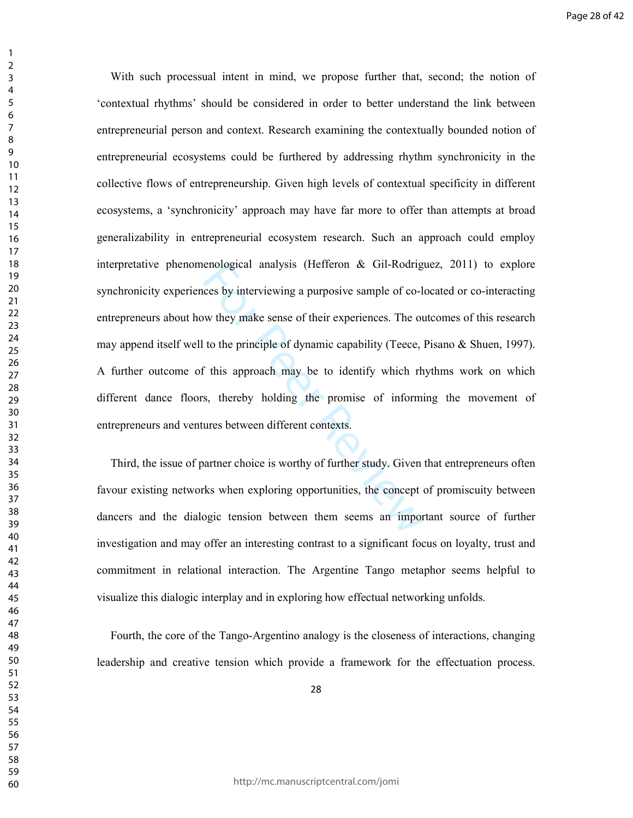enological analysis (Hefteron & Gil-Rodrig<br>ces by interviewing a purposive sample of co-l<br>w they make sense of their experiences. The or<br>to the principle of dynamic capability (Teece,<br>f this approach may be to identify whi With such processual intent in mind, we propose further that, second; the notion of 'contextual rhythms' should be considered in order to better understand the link between entrepreneurial person and context. Research examining the contextually bounded notion of entrepreneurial ecosystems could be furthered by addressing rhythm synchronicity in the collective flows of entrepreneurship. Given high levels of contextual specificity in different ecosystems, a 'synchronicity' approach may have far more to offer than attempts at broad generalizability in entrepreneurial ecosystem research. Such an approach could employ interpretative phenomenological analysis (Hefferon & Gil-Rodriguez, 2011) to explore synchronicity experiences by interviewing a purposive sample of co-located or co-interacting entrepreneurs about how they make sense of their experiences. The outcomes of this research may append itself well to the principle of dynamic capability (Teece, Pisano & Shuen, 1997). A further outcome of this approach may be to identify which rhythms work on which different dance floors, thereby holding the promise of informing the movement of entrepreneurs and ventures between different contexts.

Third, the issue of partner choice is worthy of further study. Given that entrepreneurs often favour existing networks when exploring opportunities, the concept of promiscuity between dancers and the dialogic tension between them seems an important source of further investigation and may offer an interesting contrast to a significant focus on loyalty, trust and commitment in relational interaction. The Argentine Tango metaphor seems helpful to visualize this dialogic interplay and in exploring how effectual networking unfolds.

Fourth, the core of the Tango-Argentino analogy is the closeness of interactions, changing leadership and creative tension which provide a framework for the effectuation process.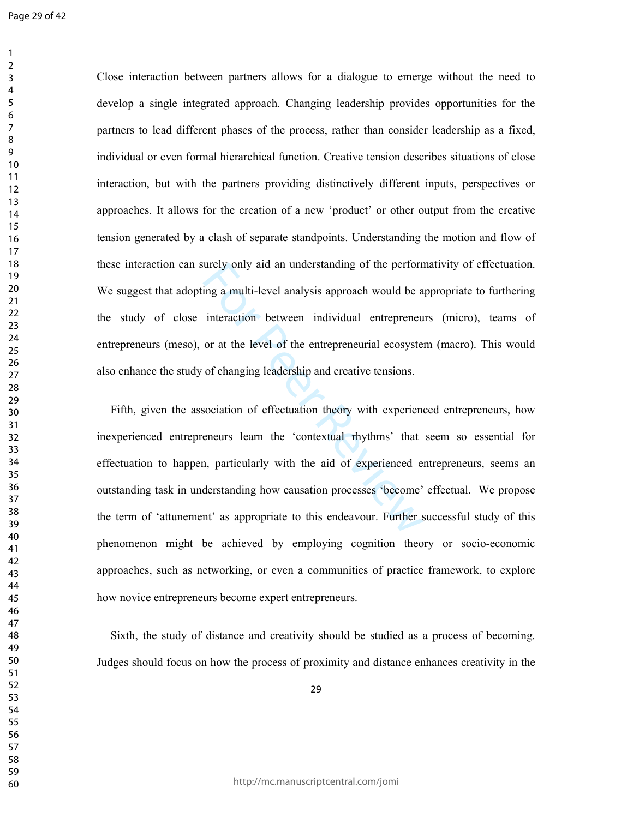Close interaction between partners allows for a dialogue to emerge without the need to develop a single integrated approach. Changing leadership provides opportunities for the partners to lead different phases of the process, rather than consider leadership as a fixed, individual or even formal hierarchical function. Creative tension describes situations of close interaction, but with the partners providing distinctively different inputs, perspectives or approaches. It allows for the creation of a new 'product' or other output from the creative tension generated by a clash of separate standpoints. Understanding the motion and flow of these interaction can surely only aid an understanding of the performativity of effectuation. We suggest that adopting a multi-level analysis approach would be appropriate to furthering the study of close interaction between individual entrepreneurs (micro), teams of entrepreneurs (meso), or at the level of the entrepreneurial ecosystem (macro). This would also enhance the study of changing leadership and creative tensions.

urely only aid an understanding of the perform<br>ing a multi-level analysis approach would be a<br>interaction between individual entrepreneur<br>or at the level of the entrepreneurial ecosyste<br>of changing leadership and creative Fifth, given the association of effectuation theory with experienced entrepreneurs, how inexperienced entrepreneurs learn the 'contextual rhythms' that seem so essential for effectuation to happen, particularly with the aid of experienced entrepreneurs, seems an outstanding task in understanding how causation processes 'become' effectual. We propose the term of 'attunement' as appropriate to this endeavour. Further successful study of this phenomenon might be achieved by employing cognition theory or socio-economic approaches, such as networking, or even a communities of practice framework, to explore how novice entrepreneurs become expert entrepreneurs.

Sixth, the study of distance and creativity should be studied as a process of becoming. Judges should focus on how the process of proximity and distance enhances creativity in the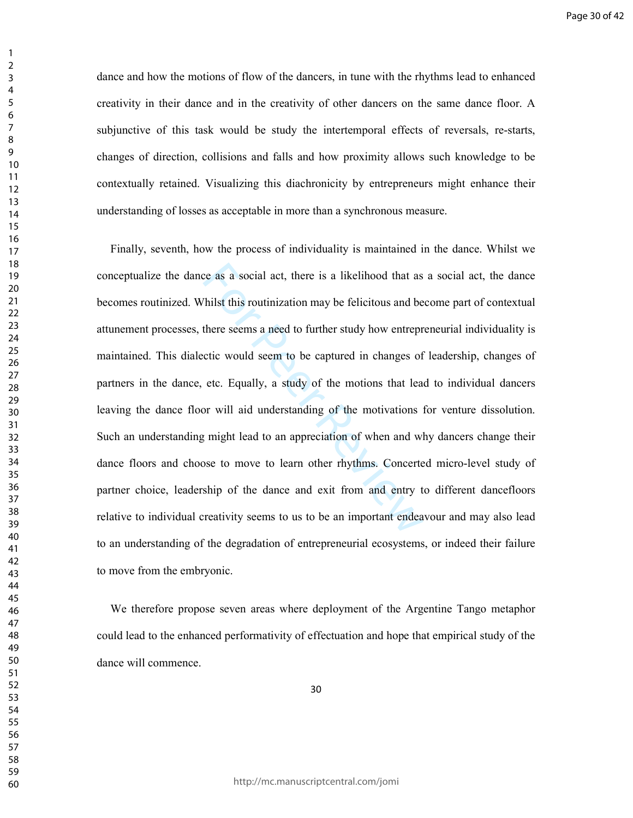dance and how the motions of flow of the dancers, in tune with the rhythms lead to enhanced creativity in their dance and in the creativity of other dancers on the same dance floor. A subjunctive of this task would be study the intertemporal effects of reversals, re-starts, changes of direction, collisions and falls and how proximity allows such knowledge to be contextually retained. Visualizing this diachronicity by entrepreneurs might enhance their understanding of losses as acceptable in more than a synchronous measure.

ce as a social act, there is a likelihood that as<br>Thilst this routinization may be felicitous and be<br>there seems a need to further study how entrepr<br>ctic would seem to be captured in changes of<br>etc. Equally, a study of the Finally, seventh, how the process of individuality is maintained in the dance. Whilst we conceptualize the dance as a social act, there is a likelihood that as a social act, the dance becomes routinized. Whilst this routinization may be felicitous and become part of contextual attunement processes, there seems a need to further study how entrepreneurial individuality is maintained. This dialectic would seem to be captured in changes of leadership, changes of partners in the dance, etc. Equally, a study of the motions that lead to individual dancers leaving the dance floor will aid understanding of the motivations for venture dissolution. Such an understanding might lead to an appreciation of when and why dancers change their dance floors and choose to move to learn other rhythms. Concerted micro-level study of partner choice, leadership of the dance and exit from and entry to different dancefloors relative to individual creativity seems to us to be an important endeavour and may also lead to an understanding of the degradation of entrepreneurial ecosystems, or indeed their failure to move from the embryonic.

We therefore propose seven areas where deployment of the Argentine Tango metaphor could lead to the enhanced performativity of effectuation and hope that empirical study of the dance will commence.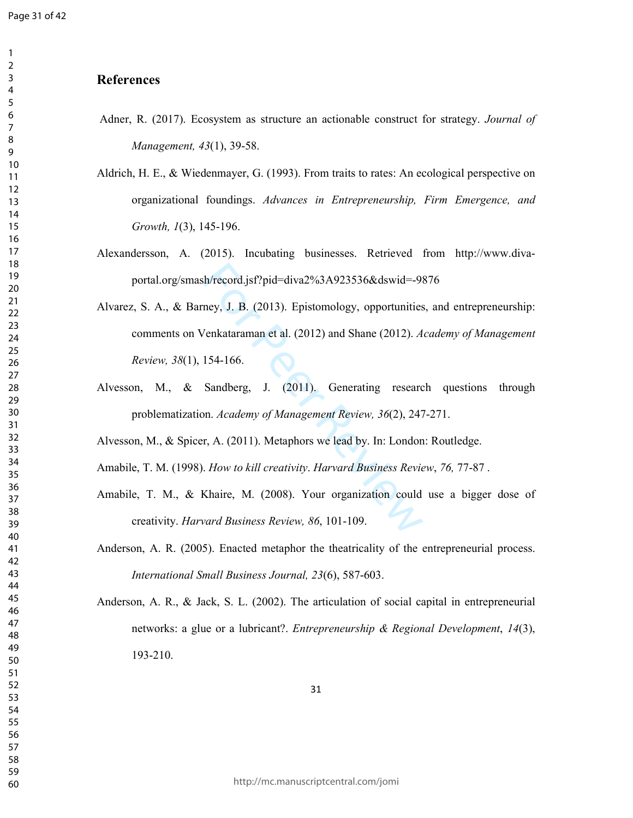## **References**

- Adner, R. (2017). Ecosystem as structure an actionable construct for strategy. *Journal of Management, 43*(1), 39-58.
- Aldrich, H. E., & Wiedenmayer, G. (1993). From traits to rates: An ecological perspective on organizational foundings. *Advances in Entrepreneurship, Firm Emergence, and Growth, 1*(3), 145-196.
- Alexandersson, A. (2015). Incubating businesses. Retrieved from http://www.divaportal.org/smash/record.jsf?pid=diva2%3A923536&dswid=-9876
- h/record.jsf?pid=diva2%3A923536&dswid=-98<br>ney, J. B. (2013). Epistomology, opportunities<br>/enkataraman et al. (2012) and Shane (2012). A<br>154-166.<br>Sandberg, J. (2011). Generating researc<br>nn. Academy of Management Review, 36( Alvarez, S. A., & Barney, J. B. (2013). Epistomology, opportunities, and entrepreneurship: comments on Venkataraman et al. (2012) and Shane (2012). *Academy of Management Review, 38*(1), 154-166.
- Alvesson, M., & Sandberg, J. (2011). Generating research questions through problematization. *Academy of Management Review, 36*(2), 247-271.

Alvesson, M., & Spicer, A. (2011). Metaphors we lead by. In: London: Routledge.

Amabile, T. M. (1998). *How to kill creativity*. *Harvard Business Review*, *76,* 77-87 .

Amabile, T. M., & Khaire, M. (2008). Your organization could use a bigger dose of creativity. *Harvard Business Review, 86*, 101-109.

Anderson, A. R. (2005). Enacted metaphor the theatricality of the entrepreneurial process. *International Small Business Journal, 23*(6), 587-603.

Anderson, A. R., & Jack, S. L. (2002). The articulation of social capital in entrepreneurial networks: a glue or a lubricant?. *Entrepreneurship & Regional Development*, *14*(3), 193-210.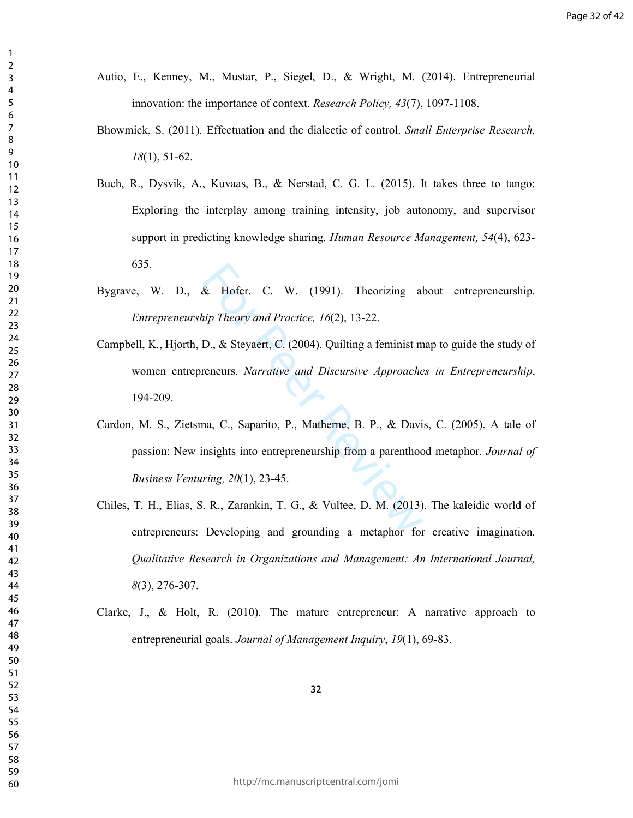- Autio, E., Kenney, M., Mustar, P., Siegel, D., & Wright, M. (2014). Entrepreneurial innovation: the importance of context. *Research Policy, 43*(7), 1097-1108.
- Bhowmick, S. (2011). Effectuation and the dialectic of control. *Small Enterprise Research,*  (1), 51-62.
- Buch, R., Dysvik, A., Kuvaas, B., & Nerstad, C. G. L. (2015). It takes three to tango: Exploring the interplay among training intensity, job autonomy, and supervisor support in predicting knowledge sharing. *Human Resource Management, 54*(4), 623- 635.
- Bygrave, W. D., & Hofer, C. W. (1991). Theorizing about entrepreneurship. *Entrepreneurship Theory and Practice, 16*(2), 13-22.
- Campbell, K., Hjorth, D., & Steyaert, C. (2004). Quilting a feminist map to guide the study of women entrepreneurs. *Narrative and Discursive Approaches in Entrepreneurship*, 194-209.
- & Hofer, C. W. (1991). Theorizing all<br>
iip Theory and Practice, 16(2), 13-22.<br>
D., & Steyaert, C. (2004). Quilting a feminist m<br>
reneurs. *Narrative and Discursive Approache*<br>
ana, C., Saparito, P., Matherne, B. P., & Dav Cardon, M. S., Zietsma, C., Saparito, P., Matherne, B. P., & Davis, C. (2005). A tale of passion: New insights into entrepreneurship from a parenthood metaphor. *Journal of Business Venturing, 20*(1), 23-45.
- Chiles, T. H., Elias, S. R., Zarankin, T. G., & Vultee, D. M. (2013). The kaleidic world of entrepreneurs: Developing and grounding a metaphor for creative imagination. *Qualitative Research in Organizations and Management: An International Journal,*  (3), 276-307.
- Clarke, J., & Holt, R. (2010). The mature entrepreneur: A narrative approach to entrepreneurial goals. *Journal of Management Inquiry*, *19*(1), 69-83.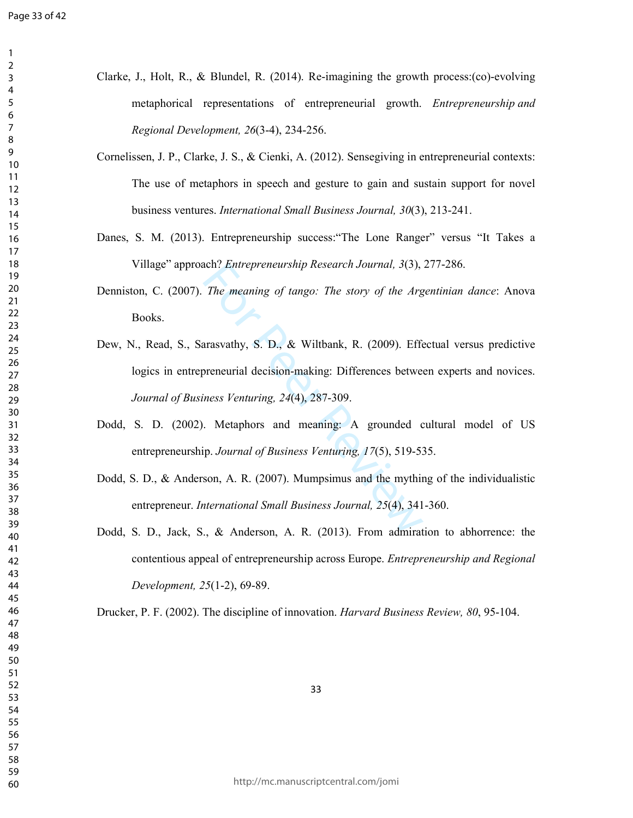$\mathbf{1}$  $\overline{2}$  $\mathsf{3}$  $\overline{7}$  $\,8\,$ 

| metaphorical representations of entrepreneurial growth. Entrepreneurship and<br>Regional Development, 26(3-4), 234-256. |
|-------------------------------------------------------------------------------------------------------------------------|
|                                                                                                                         |
| Cornelissen, J. P., Clarke, J. S., & Cienki, A. (2012). Sensegiving in entrepreneurial contexts:                        |
| The use of metaphors in speech and gesture to gain and sustain support for novel                                        |
| business ventures. International Small Business Journal, 30(3), 213-241.                                                |
| Danes, S. M. (2013). Entrepreneurship success: "The Lone Ranger" versus "It Takes a                                     |
| Village" approach? Entrepreneurship Research Journal, 3(3), 277-286.                                                    |
| Denniston, C. (2007). The meaning of tango: The story of the Argentinian dance: Anova<br>Books.                         |
| Dew, N., Read, S., Sarasvathy, S. D., & Wiltbank, R. (2009). Effectual versus predictive                                |
| logics in entrepreneurial decision-making: Differences between experts and novices.                                     |
| Journal of Business Venturing, 24(4), 287-309.                                                                          |
| Dodd, S. D. (2002). Metaphors and meaning: A grounded cultural model of US                                              |
| entrepreneurship. Journal of Business Venturing, 17(5), 519-535.                                                        |
| Dodd, S. D., & Anderson, A. R. (2007). Mumpsimus and the mything of the individualistic                                 |
| entrepreneur. International Small Business Journal, 25(4), 341-360.                                                     |
| Dodd, S. D., Jack, S., & Anderson, A. R. (2013). From admiration to abhorrence: the                                     |
| contentious appeal of entrepreneurship across Europe. <i>Entrepreneurship and Regional</i>                              |
| Development, 25(1-2), 69-89.                                                                                            |
| Drucker, P. F. (2002). The discipline of innovation. Harvard Business Review, 80, 95-104.                               |
|                                                                                                                         |
|                                                                                                                         |
| 33                                                                                                                      |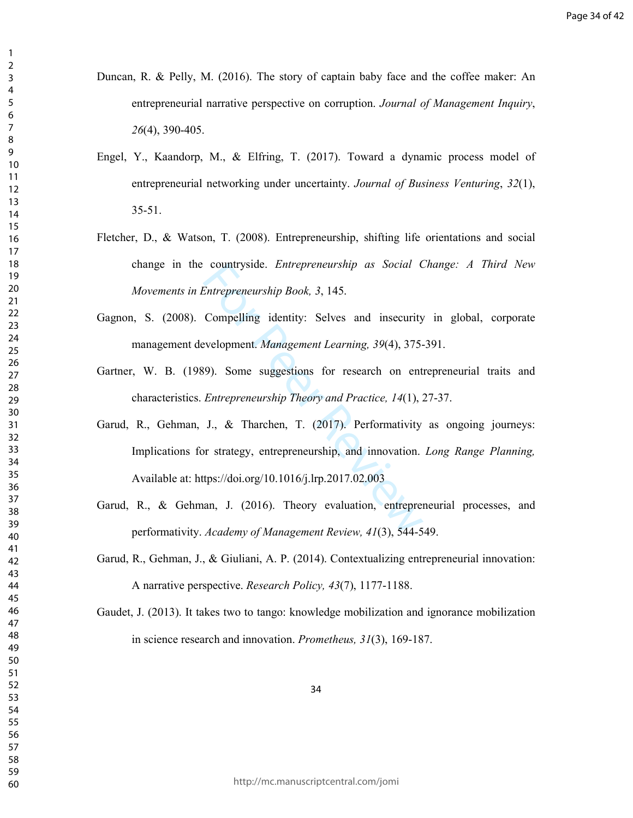- Duncan, R. & Pelly, M. (2016). The story of captain baby face and the coffee maker: An entrepreneurial narrative perspective on corruption. *Journal of Management Inquiry*, (4), 390-405.
- Engel, Y., Kaandorp, M., & Elfring, T. (2017). Toward a dynamic process model of entrepreneurial networking under uncertainty. *Journal of Business Venturing*, *32*(1), 35-51.
- Fletcher, D., & Watson, T. (2008). Entrepreneurship, shifting life orientations and social change in the countryside. *Entrepreneurship as Social Change: A Third New Movements in Entrepreneurship Book, 3*, 145.
- Gagnon, S. (2008). Compelling identity: Selves and insecurity in global, corporate management development. *Management Learning, 39*(4), 375-391.
- Gartner, W. B. (1989). Some suggestions for research on entrepreneurial traits and characteristics. *Entrepreneurship Theory and Practice, 14*(1), 27-37.
- countryside. *Entrepreneurship as Social* C<br>
Entrepreneurship Book, 3, 145.<br>
Compelling identity: Selves and insecurity<br>
evelopment. *Management Learning*, 39(4), 375-<br>
99). Some suggestions for research on ent<br> *Entrepren* Garud, R., Gehman, J., & Tharchen, T. (2017). Performativity as ongoing journeys: Implications for strategy, entrepreneurship, and innovation. *Long Range Planning,*  Available at: https://doi.org/10.1016/j.lrp.2017.02.003
- Garud, R., & Gehman, J. (2016). Theory evaluation, entrepreneurial processes, and performativity. *Academy of Management Review, 41*(3), 544-549.
- Garud, R., Gehman, J., & Giuliani, A. P. (2014). Contextualizing entrepreneurial innovation: A narrative perspective. *Research Policy, 43*(7), 1177-1188.
- Gaudet, J. (2013). It takes two to tango: knowledge mobilization and ignorance mobilization in science research and innovation. *Prometheus, 31*(3), 169-187.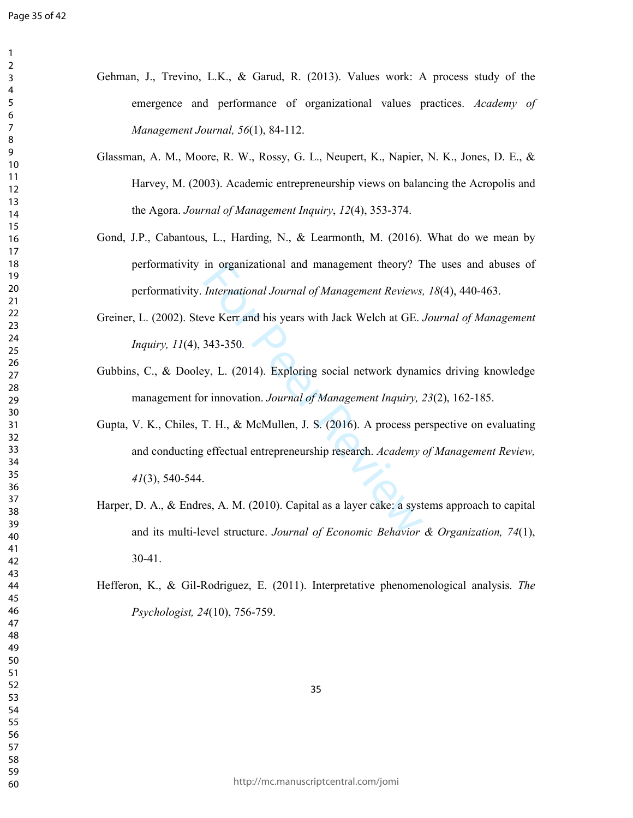$\mathbf{1}$  $\overline{2}$  $\mathsf{3}$  $\overline{7}$  $\,8\,$ 

| Gehman, J., Trevino, L.K., & Garud, R. (2013). Values work: A process study of the            |
|-----------------------------------------------------------------------------------------------|
| emergence and performance of organizational values practices. Academy of                      |
| Management Journal, 56(1), 84-112.                                                            |
| Glassman, A. M., Moore, R. W., Rossy, G. L., Neupert, K., Napier, N. K., Jones, D. E., &      |
| Harvey, M. (2003). Academic entrepreneurship views on balancing the Acropolis and             |
| the Agora. Journal of Management Inquiry, 12(4), 353-374.                                     |
| Gond, J.P., Cabantous, L., Harding, N., & Learmonth, M. (2016). What do we mean by            |
| performativity in organizational and management theory? The uses and abuses of                |
| performativity. International Journal of Management Reviews, 18(4), 440-463.                  |
| Greiner, L. (2002). Steve Kerr and his years with Jack Welch at GE. Journal of Management     |
| Inquiry, 11(4), 343-350.                                                                      |
| Gubbins, C., & Dooley, L. (2014). Exploring social network dynamics driving knowledge         |
| management for innovation. Journal of Management Inquiry, 23(2), 162-185.                     |
| Gupta, V. K., Chiles, T. H., & McMullen, J. S. (2016). A process perspective on evaluating    |
| and conducting effectual entrepreneurship research. Academy of Management Review,             |
| $41(3)$ , 540-544.                                                                            |
| Harper, D. A., & Endres, A. M. (2010). Capital as a layer cake: a systems approach to capital |
| and its multi-level structure. Journal of Economic Behavior & Organization, 74(1),            |
| $30 - 41$ .                                                                                   |
| Hefferon, K., & Gil-Rodriguez, E. (2011). Interpretative phenomenological analysis. The       |
| Psychologist, 24(10), 756-759.                                                                |
|                                                                                               |
|                                                                                               |
| 35                                                                                            |
|                                                                                               |
|                                                                                               |
|                                                                                               |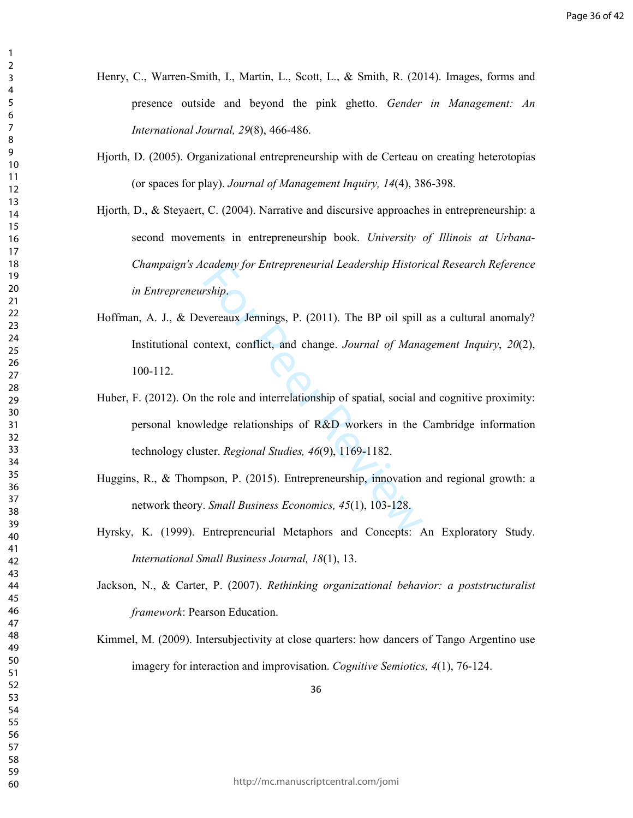Henry, C., Warren-Smith, I., Martin, L., Scott, L., & Smith, R. (2014). Images, forms and presence outside and beyond the pink ghetto. *Gender in Management: An International Journal, 29*(8), 466-486.

- Hjorth, D. (2005). Organizational entrepreneurship with de Certeau on creating heterotopias (or spaces for play). *Journal of Management Inquiry, 14*(4), 386-398.
- Hjorth, D., & Steyaert, C. (2004). Narrative and discursive approaches in entrepreneurship: a second movements in entrepreneurship book. *University of Illinois at Urbana-Champaign's Academy for Entrepreneurial Leadership Historical Research Reference in Entrepreneurship*.
- Hoffman, A. J., & Devereaux Jennings, P. (2011). The BP oil spill as a cultural anomaly? Institutional context, conflict, and change. *Journal of Management Inquiry*, *20*(2), 100-112.
- cademy for Entrepreneurial Leadership Histori<br>
rship.<br>
vereaux Jennings, P. (2011). The BP oil spill<br>
intext, conflict, and change. Journal of Mana<br>
he role and interrelationship of spatial, social a<br>
ledge relationships o Huber, F. (2012). On the role and interrelationship of spatial, social and cognitive proximity: personal knowledge relationships of R&D workers in the Cambridge information technology cluster. *Regional Studies, 46*(9), 1169-1182.
- Huggins, R., & Thompson, P. (2015). Entrepreneurship, innovation and regional growth: a network theory. *Small Business Economics, 45*(1), 103-128.
- Hyrsky, K. (1999). Entrepreneurial Metaphors and Concepts: An Exploratory Study. *International Small Business Journal, 18*(1), 13.
- Jackson, N., & Carter, P. (2007). *Rethinking organizational behavior: a poststructuralist framework*: Pearson Education.
- Kimmel, M. (2009). Intersubjectivity at close quarters: how dancers of Tango Argentino use imagery for interaction and improvisation. *Cognitive Semiotics, 4*(1), 76-124.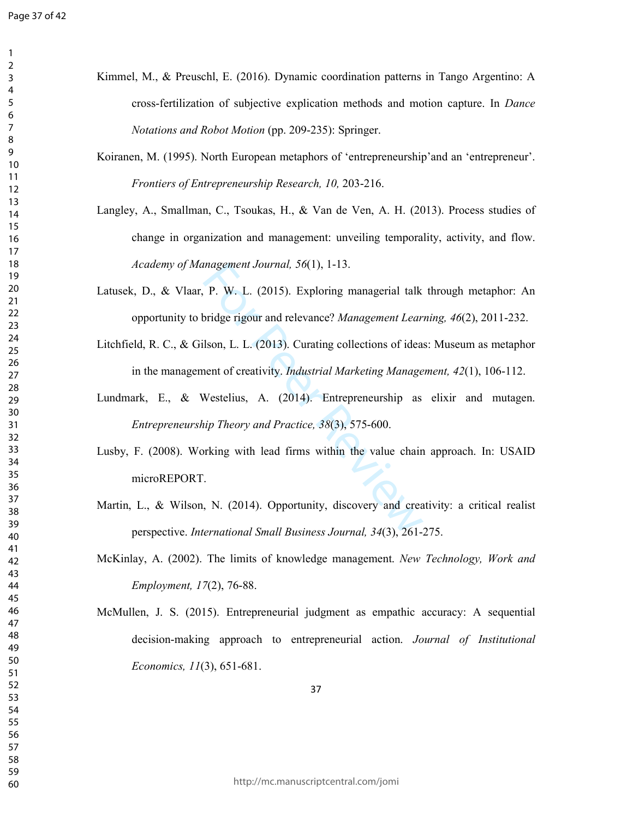$\mathbf{1}$  $\overline{2}$  $\mathsf{3}$  $\overline{7}$  $\,8\,$ 

| Kimmel, M., & Preuschl, E. (2016). Dynamic coordination patterns in Tango Argentino: A       |
|----------------------------------------------------------------------------------------------|
| cross-fertilization of subjective explication methods and motion capture. In Dance           |
| Notations and Robot Motion (pp. 209-235): Springer.                                          |
| Koiranen, M. (1995). North European metaphors of 'entrepreneurship'and an 'entrepreneur'.    |
| Frontiers of Entrepreneurship Research, 10, 203-216.                                         |
| Langley, A., Smallman, C., Tsoukas, H., & Van de Ven, A. H. (2013). Process studies of       |
| change in organization and management: unveiling temporality, activity, and flow.            |
| Academy of Management Journal, 56(1), 1-13.                                                  |
| Latusek, D., & Vlaar, P. W. L. (2015). Exploring managerial talk through metaphor: An        |
| opportunity to bridge rigour and relevance? Management Learning, 46(2), 2011-232.            |
| Litchfield, R. C., & Gilson, L. L. (2013). Curating collections of ideas: Museum as metaphor |
| in the management of creativity. <i>Industrial Marketing Management</i> , $42(1)$ , 106-112. |
| Lundmark, E., & Westelius, A. (2014). Entrepreneurship as elixir and mutagen.                |
| Entrepreneurship Theory and Practice, 38(3), 575-600.                                        |
| Lusby, F. (2008). Working with lead firms within the value chain approach. In: USAID         |
| microREPORT.                                                                                 |
| Martin, L., & Wilson, N. (2014). Opportunity, discovery and creativity: a critical realist   |
| perspective. International Small Business Journal, 34(3), 261-275.                           |
| McKinlay, A. (2002). The limits of knowledge management. New Technology, Work and            |
| Employment, 17(2), 76-88.                                                                    |
| McMullen, J. S. (2015). Entrepreneurial judgment as empathic accuracy: A sequential          |
| decision-making approach to entrepreneurial action. Journal of Institutional                 |
| <i>Economics, 11</i> (3), 651-681.                                                           |
| 37                                                                                           |

http://mc.manuscriptcentral.com/jomi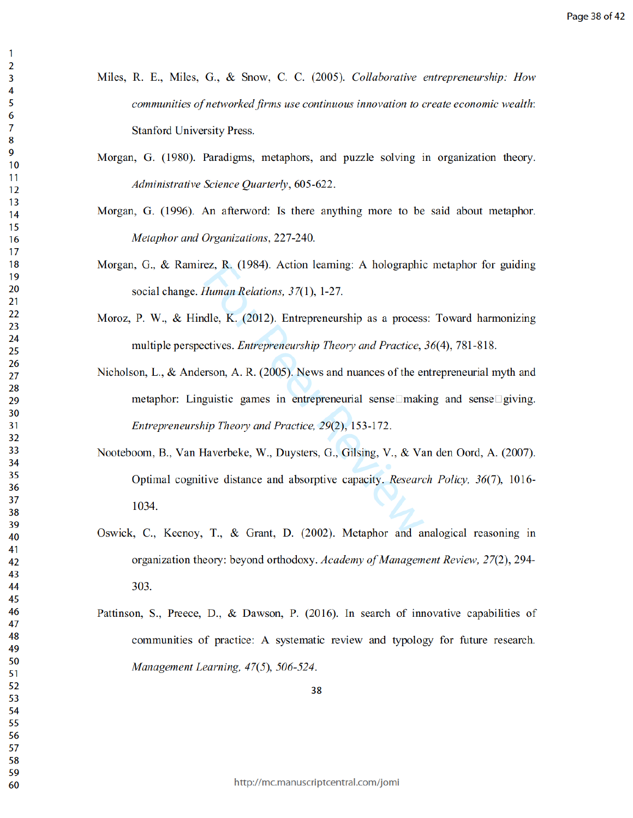- Miles, R. E., Miles, G., & Snow, C. C. (2005). Collaborative entrepreneurship: How communities of networked firms use continuous innovation to create economic wealth: Stanford University Press.
- Morgan, G. (1980). Paradigms, metaphors, and puzzle solving in organization theory. Administrative Science Quarterly, 605-622.
- Morgan, G. (1996). An afterword: Is there anything more to be said about metaphor. Metaphor and Organizations, 227-240.
- Morgan, G., & Ramirez, R. (1984). Action learning: A holographic metaphor for guiding social change. Human Relations,  $37(1)$ , 1-27.
- Moroz, P. W., & Hindle, K. (2012). Entrepreneurship as a process: Toward harmonizing multiple perspectives. *Entrepreneurship Theory and Practice*, 36(4), 781-818.
- rez, R. (1984). Action learning: A hologra<br> *Human Relations, 37*(1), 1-27.<br>
adle, K. (2012). Entrepreneurship as a pro<br>
ectives. *Entrepreneurship Theory and Practerson*, A. R. (2005). News and nuances of the<br>
guistic ga Nicholson, L., & Anderson, A. R. (2005). News and nuances of the entrepreneurial myth and meta phor: Linguistic games in entrepreneurial sense  $\Box$ making and sense  $\Box$ giving. Entrepreneurship Theory and Practice, 29(2), 153-172.
- Nooteboom, B., Van Haverbeke, W., Duysters, G., Gilsing, V., & Van den Oord, A. (2007). Optimal cognitive distance and absorptive capacity. Research Policy,  $36(7)$ , 1016-10 34.
- Oswick, C., Keenoy, T., & Grant, D.  $(2002)$ . Metaphor and analogical reasoning in organization theory: beyond orthodoxy. Academy of Management Review, 27(2), 294-303.
- Pattinson, S., Preece, D., & Dawson, P. (2016). In search of innovative capabilities of communities of practice: A systematic review and typology for future research. Management Learning,  $47(5)$ ,  $506-524$ .
	-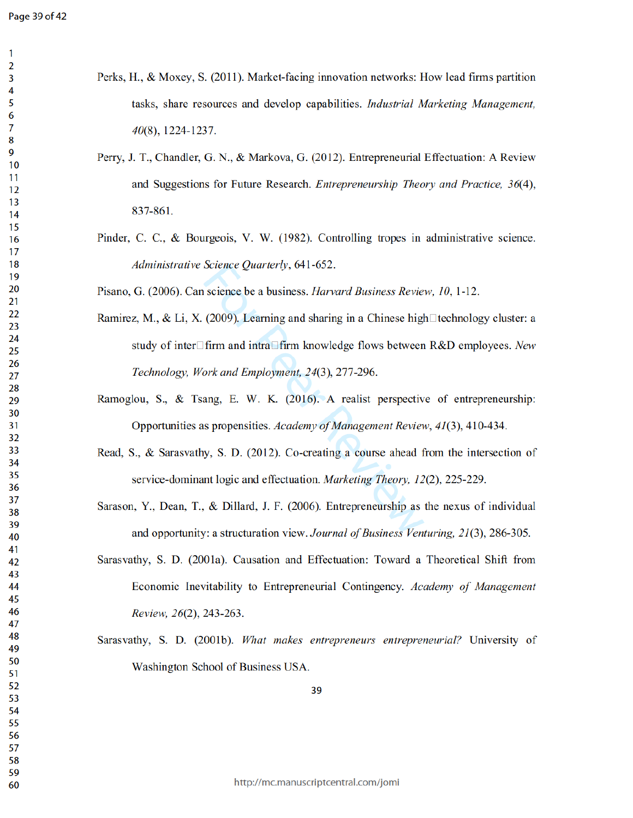| Perks, H., & Moxey, S. (2011). Market-facing innovation networks: How lead firms partition |
|--------------------------------------------------------------------------------------------|
| tasks, share resources and develop capabilities. <i>Industrial Marketing Management</i> ,  |
| $40(8)$ , 1224-1237.                                                                       |

- Perry, J. T., Chandler, G. N., & Markova, G. (2012). Entrepreneurial Effectuation: A Review and Suggestions for Future Research. *Entrepreneurship Theory and Practice*, 36(4), 8 3 7 - 8 6 1.
- Pinder, C. C., & Bourgeois, V. W. (1982). Controlling tropes in administrative science. Administrative Science Quarterly, 641-652.
- Pisano, G. (2006). Can science be a business. *Harvard Business Review*, 10, 1-12.
- Science Quarterly, 641-652.<br>
n science be a business. *Harvard Business R*. (2009). Learning and sharing in a Chinese<br>
1firm and intra lating the and sharing in a Chinese<br>
1firm and intra lating the share of Downships betw Ramirez, M., & Li, X. (2009). Learning and sharing in a Chinese high $\Box$  technology cluster: a study of inter $\Box$  firm and intra $\Box$  firm knowledge flows between R&D employees. New Technology, Work and Employment, 24(3), 277-296.
- Ramoglou, S., & Tsang, E. W. K. (2016). A realist perspective of entrepreneurship: Opportunities as propensities. Academy of Management Review, 41(3), 410-434.
- Read, S., & Sarasvathy, S. D.  $(2012)$ . Co-creating a course ahead from the intersection of service-dominant logic and effectuation. *Marketing Theory*, 12(2), 225-229.
- Sarason, Y., Dean, T., & Dillard, J. F. (2006). Entrepreneurship as the nexus of individual and opportunity: a structuration view. Journal of Business Venturing, 21(3), 286-305.
- Sarasvathy, S. D. (2001a). Causation and Effectuation: Toward a Theoretical Shift from Economic Inevitability to Entrepreneurial Contingency. Academy of Management Review, 26(2), 243-263.
- Sarasvathy, S. D. (2001b). What makes entrepreneurs entrepreneurial? University of Washington School of Business USA.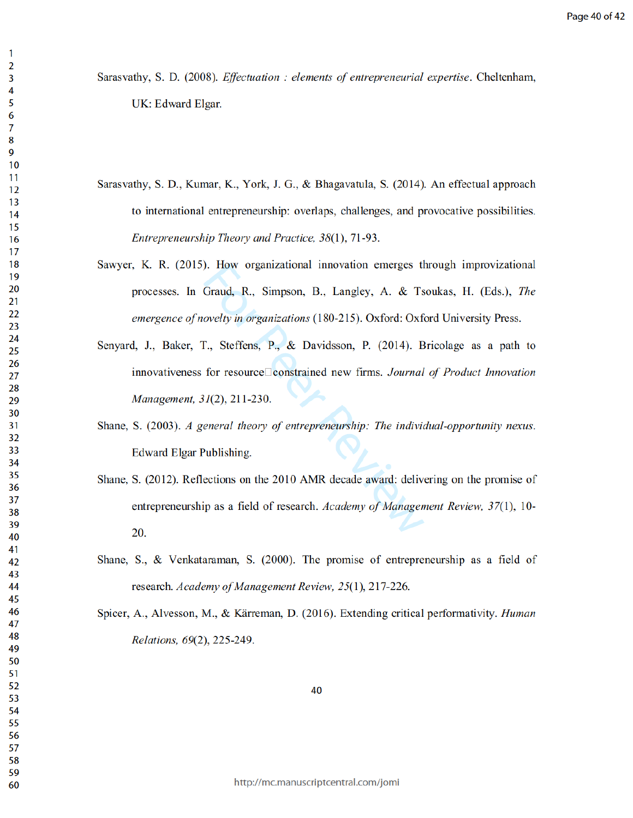Sarasvathy, S. D. (2008). *Effectuation : elements of entrepreneurial expertise*. Cheltenham, UK: Edward Elgar.

- Sarasvathy, S. D., Kumar, K., York, J. G., & Bhagavatula, S. (2014). An effectual approach to international entrepreneurship: overlaps, challenges, and provocative possibilities. Entrepreneurship Theory and Practice, 38(1), 71-93.
- Sawyer, K. R. (2015). How organizational innovation emerges through improvizational processes. In Graud, R., Simpson, B., Langley, A. & Tsoukas, H. (Eds.), The emergence of novelty in organizations (180-215). Oxford: Oxford University Press.
- Fraud, R., Simpson, B., Langley, A. &<br>
Graud, R., Simpson, B., Langley, A. &<br>
novelty in organizations (180-215). Oxford:<br>
T., Steffens, P., & Davidsson, P. (2014<br>
for resource constrained new firms. Jou.<br>
31(2), 211-230. Senyard, J., Baker, T., Steffens, P., & Davidsson, P.  $(2014)$ . Bricolage as a path to innovativeness for resource constrained new firms. Journal of Product Innovation  $Management, 31(2), 211-230.$
- Shane, S. (2003). A general theory of entrepreneurship: The individual-opportunity nexus. Edward Elgar Publishing.
- Shane, S. (2012). Reflections on the 2010 AMR decade award: delivering on the promise of entrepreneurship as a field of research. Academy of Management Review, 37(1), 10-20.
- Shane, S., & Venkataraman, S.  $(2000)$ . The promise of entrepreneurship as a field of research. Academy of Management Review, 25(1), 217-226.
- Spicer, A., Alvesson, M., & Kärreman, D. (2016). Extending critical performativity. *Human* Relations, 69(2), 225-249.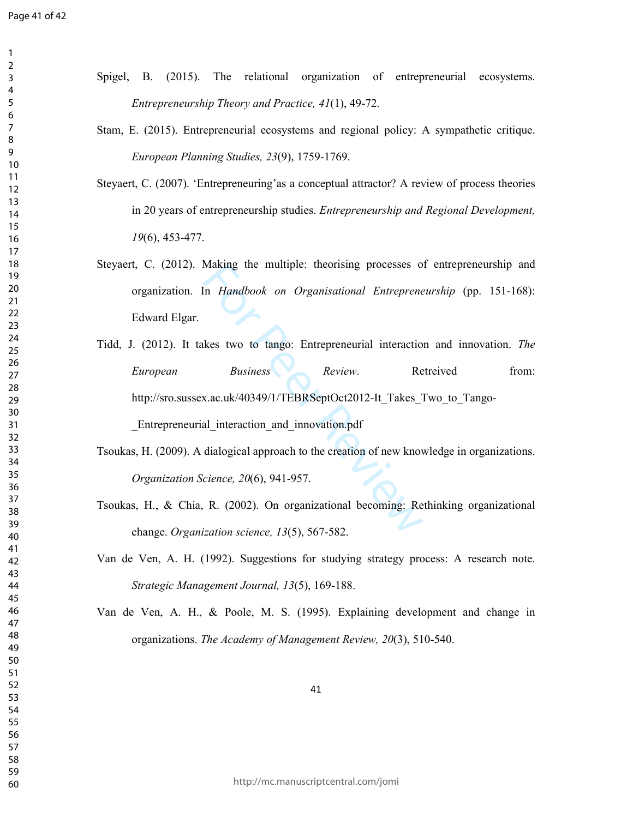$\mathbf{1}$  $\overline{2}$  $\mathsf{3}$  $\overline{4}$  $\overline{7}$  $\,8\,$ 

| Spigel, B. (2015). The relational organization of entrepreneurial ecosystems.                 |
|-----------------------------------------------------------------------------------------------|
| Entrepreneurship Theory and Practice, 41(1), 49-72.                                           |
| Stam, E. (2015). Entrepreneurial ecosystems and regional policy: A sympathetic critique.      |
| European Planning Studies, 23(9), 1759-1769.                                                  |
| Steyaert, C. (2007). 'Entrepreneuring'as a conceptual attractor? A review of process theories |
| in 20 years of entrepreneurship studies. Entrepreneurship and Regional Development,           |
| $19(6)$ , 453-477.                                                                            |
| Steyaert, C. (2012). Making the multiple: theorising processes of entrepreneurship and        |
| organization. In Handbook on Organisational Entrepreneurship (pp. 151-168):                   |
| Edward Elgar.                                                                                 |
| Tidd, J. (2012). It takes two to tango: Entrepreneurial interaction and innovation. The       |
| <b>Business</b><br>Review.<br>Retreived<br>from:<br>European                                  |
| http://sro.sussex.ac.uk/40349/1/TEBRSeptOct2012-It Takes Two to Tango-                        |
| Entrepreneurial interaction and innovation.pdf                                                |
| Tsoukas, H. (2009). A dialogical approach to the creation of new knowledge in organizations.  |
| Organization Science, 20(6), 941-957.                                                         |
| Tsoukas, H., & Chia, R. (2002). On organizational becoming: Rethinking organizational         |
| change. Organization science, 13(5), 567-582.                                                 |
| Van de Ven, A. H. (1992). Suggestions for studying strategy process: A research note.         |
| Strategic Management Journal, 13(5), 169-188.                                                 |
| Van de Ven, A. H., & Poole, M. S. (1995). Explaining development and change in                |
| organizations. The Academy of Management Review, 20(3), 510-540.                              |
|                                                                                               |
| 41                                                                                            |
|                                                                                               |
|                                                                                               |
|                                                                                               |